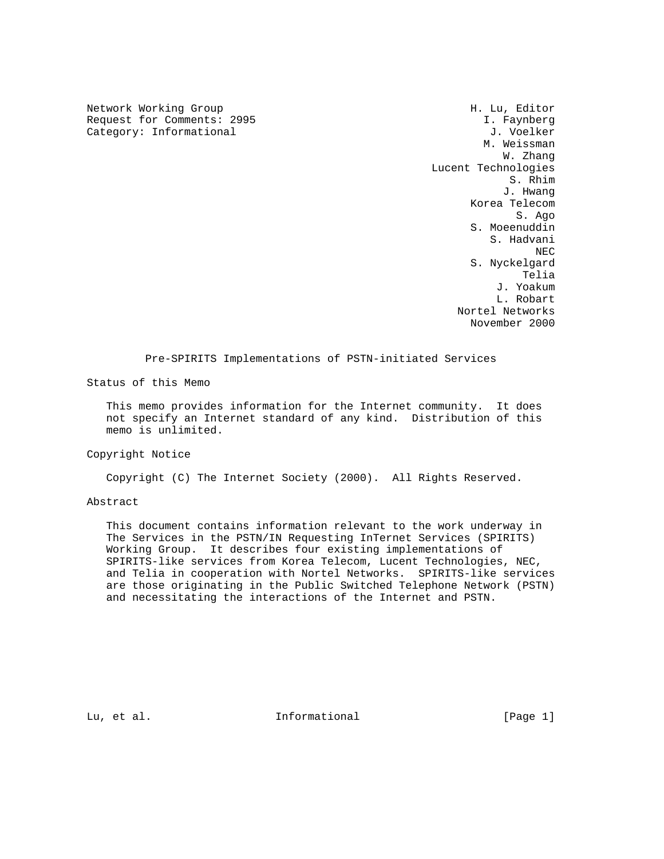Network Working Group Network Working Group Request for Comments: 2995 I. Faynberg Category: Informational  $J. Voelker$ 

 M. Weissman W. Zhang Lucent Technologies S. Rhim J. Hwang Korea Telecom S. Ago and the state of the state of the state of the state of the state of the state of the state of the state of the state of the state of the state of the state of the state of the state of the state of the state of the S. Moeenuddin S. Hadvani NECTRIC INTENSITY OF REAL PROPERTY AND REAL PROPERTY OF REAL PROPERTY. S. Nyckelgard na matangang kabupatèn Kabupatèn Bangsimuran Kabupatèn Kabupatèn Kabupatèn Kabupatèn Kabupatèn Kabupatèn Kabup J. Yoakum L. Robart Nortel Networks November 2000

Pre-SPIRITS Implementations of PSTN-initiated Services

Status of this Memo

 This memo provides information for the Internet community. It does not specify an Internet standard of any kind. Distribution of this memo is unlimited.

Copyright Notice

Copyright (C) The Internet Society (2000). All Rights Reserved.

Abstract

 This document contains information relevant to the work underway in The Services in the PSTN/IN Requesting InTernet Services (SPIRITS) Working Group. It describes four existing implementations of SPIRITS-like services from Korea Telecom, Lucent Technologies, NEC, and Telia in cooperation with Nortel Networks. SPIRITS-like services are those originating in the Public Switched Telephone Network (PSTN) and necessitating the interactions of the Internet and PSTN.

Lu, et al. 10 mm informational 11 mm informational [Page 1]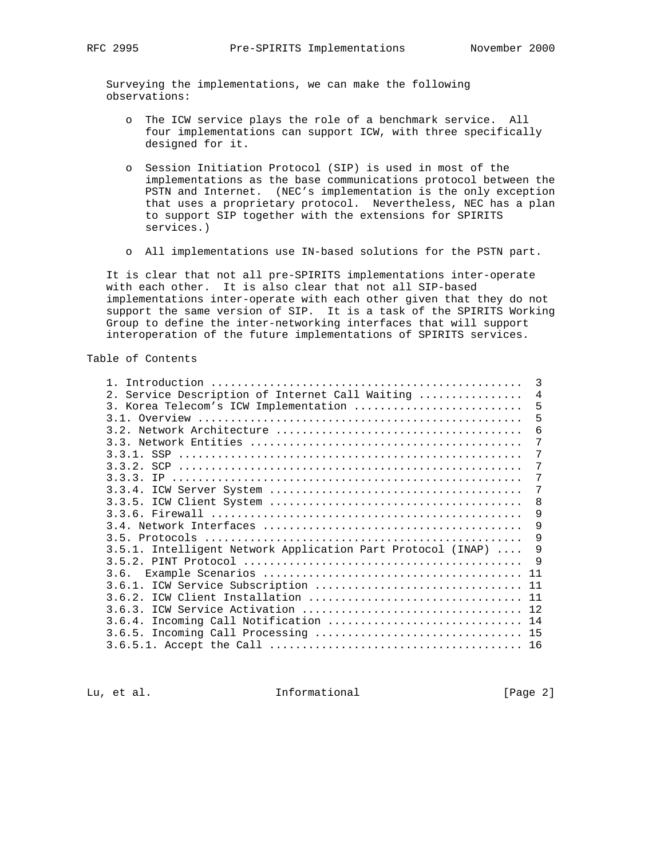Surveying the implementations, we can make the following observations:

- o The ICW service plays the role of a benchmark service. All four implementations can support ICW, with three specifically designed for it.
- o Session Initiation Protocol (SIP) is used in most of the implementations as the base communications protocol between the PSTN and Internet. (NEC's implementation is the only exception that uses a proprietary protocol. Nevertheless, NEC has a plan to support SIP together with the extensions for SPIRITS services.)
- o All implementations use IN-based solutions for the PSTN part.

 It is clear that not all pre-SPIRITS implementations inter-operate with each other. It is also clear that not all SIP-based implementations inter-operate with each other given that they do not support the same version of SIP. It is a task of the SPIRITS Working Group to define the inter-networking interfaces that will support interoperation of the future implementations of SPIRITS services.

Table of Contents

|                                                             | $\mathcal{E}$  |
|-------------------------------------------------------------|----------------|
| 2. Service Description of Internet Call Waiting             | $\overline{4}$ |
| 3. Korea Telecom's ICW Implementation                       | 5              |
|                                                             | 5              |
|                                                             | 6              |
|                                                             | 7              |
|                                                             | 7              |
|                                                             | 7              |
|                                                             | 7              |
|                                                             | 7              |
|                                                             | 8              |
|                                                             | 9              |
|                                                             | 9              |
|                                                             | 9              |
| 3.5.1. Intelligent Network Application Part Protocol (INAP) | 9              |
|                                                             | 9              |
| 3.6.                                                        |                |
| 3.6.1. ICW Service Subscription  11                         |                |
|                                                             |                |
|                                                             |                |
|                                                             |                |
|                                                             |                |
|                                                             | 16             |

Lu, et al. 10. Informational 1. [Page 2]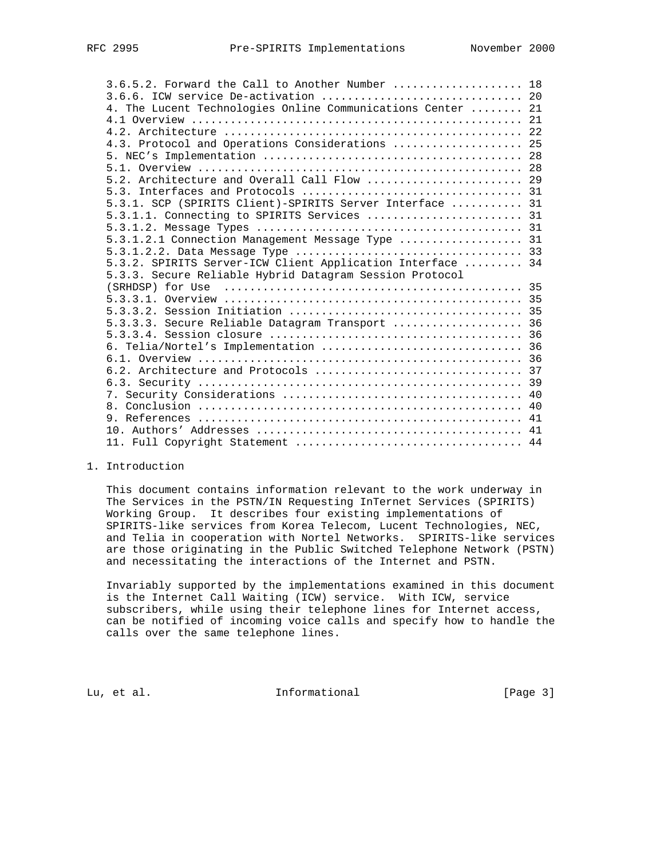| $3.6.5.2$ . Forward the Call to Another Number  18          |  |
|-------------------------------------------------------------|--|
|                                                             |  |
| 4. The Lucent Technologies Online Communications Center  21 |  |
|                                                             |  |
|                                                             |  |
| 4.3. Protocol and Operations Considerations  25             |  |
|                                                             |  |
|                                                             |  |
| 5.2. Architecture and Overall Call Flow  29                 |  |
|                                                             |  |
| 5.3.1. SCP (SPIRITS Client)-SPIRITS Server Interface  31    |  |
| 5.3.1.1. Connecting to SPIRITS Services  31                 |  |
|                                                             |  |
| 5.3.1.2.1 Connection Management Message Type  31            |  |
|                                                             |  |
| 5.3.2. SPIRITS Server-ICW Client Application Interface  34  |  |
| 5.3.3. Secure Reliable Hybrid Datagram Session Protocol     |  |
|                                                             |  |
|                                                             |  |
|                                                             |  |
|                                                             |  |
| 5.3.3.3. Secure Reliable Datagram Transport  36             |  |
|                                                             |  |
| 6. Telia/Nortel's Implementation  36                        |  |
|                                                             |  |
|                                                             |  |
|                                                             |  |
|                                                             |  |
|                                                             |  |
|                                                             |  |
|                                                             |  |
|                                                             |  |

## 1. Introduction

 This document contains information relevant to the work underway in The Services in the PSTN/IN Requesting InTernet Services (SPIRITS) Working Group. It describes four existing implementations of SPIRITS-like services from Korea Telecom, Lucent Technologies, NEC, and Telia in cooperation with Nortel Networks. SPIRITS-like services are those originating in the Public Switched Telephone Network (PSTN) and necessitating the interactions of the Internet and PSTN.

 Invariably supported by the implementations examined in this document is the Internet Call Waiting (ICW) service. With ICW, service subscribers, while using their telephone lines for Internet access, can be notified of incoming voice calls and specify how to handle the calls over the same telephone lines.

Lu, et al. 10. Informational 1. [Page 3]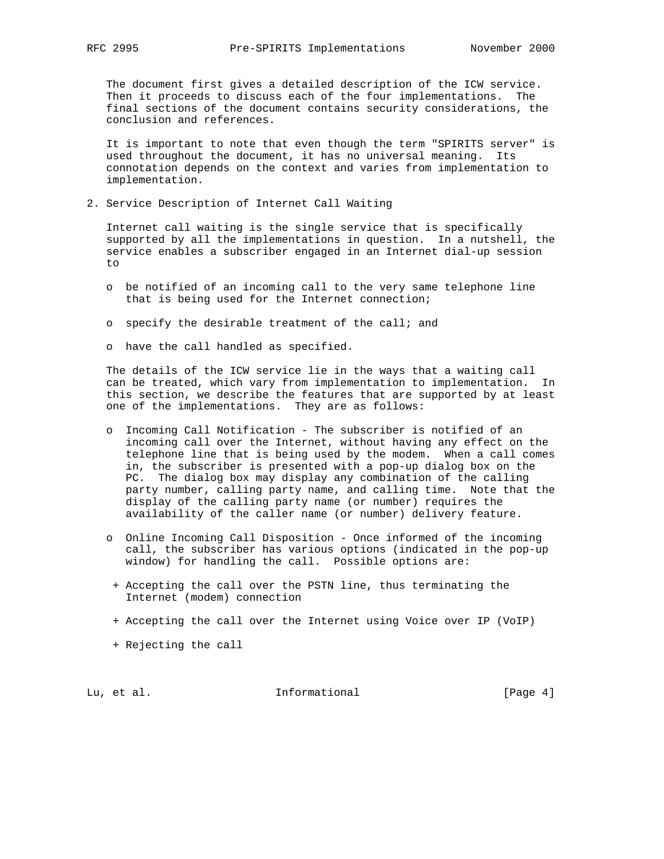The document first gives a detailed description of the ICW service. Then it proceeds to discuss each of the four implementations. The final sections of the document contains security considerations, the conclusion and references.

 It is important to note that even though the term "SPIRITS server" is used throughout the document, it has no universal meaning. Its connotation depends on the context and varies from implementation to implementation.

2. Service Description of Internet Call Waiting

 Internet call waiting is the single service that is specifically supported by all the implementations in question. In a nutshell, the service enables a subscriber engaged in an Internet dial-up session to

- o be notified of an incoming call to the very same telephone line that is being used for the Internet connection;
- o specify the desirable treatment of the call; and
- o have the call handled as specified.

 The details of the ICW service lie in the ways that a waiting call can be treated, which vary from implementation to implementation. In this section, we describe the features that are supported by at least one of the implementations. They are as follows:

- o Incoming Call Notification The subscriber is notified of an incoming call over the Internet, without having any effect on the telephone line that is being used by the modem. When a call comes in, the subscriber is presented with a pop-up dialog box on the PC. The dialog box may display any combination of the calling party number, calling party name, and calling time. Note that the display of the calling party name (or number) requires the availability of the caller name (or number) delivery feature.
- o Online Incoming Call Disposition Once informed of the incoming call, the subscriber has various options (indicated in the pop-up window) for handling the call. Possible options are:
- + Accepting the call over the PSTN line, thus terminating the Internet (modem) connection
- + Accepting the call over the Internet using Voice over IP (VoIP)
- + Rejecting the call

Lu, et al. 10. Informational 1. [Page 4]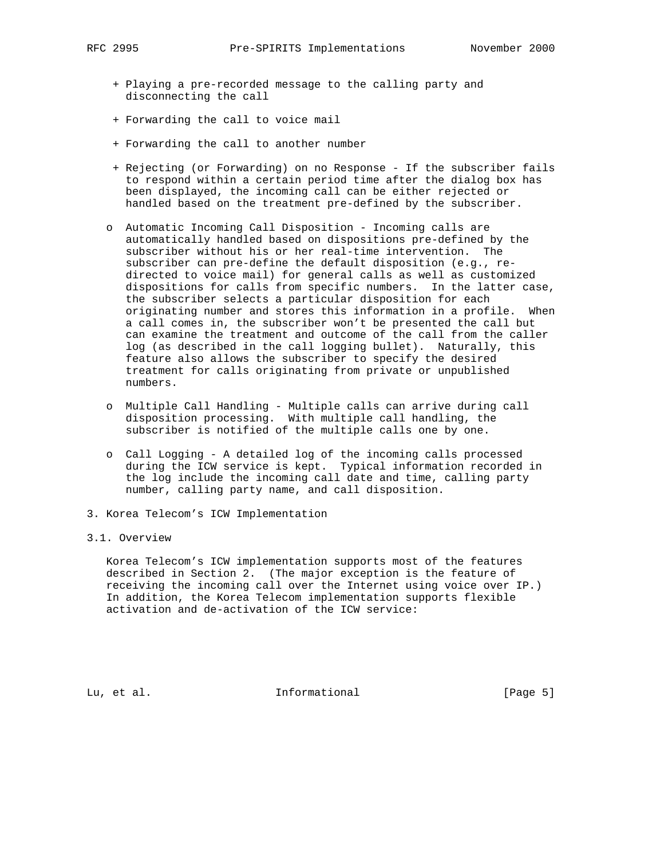- + Playing a pre-recorded message to the calling party and disconnecting the call
- + Forwarding the call to voice mail
- + Forwarding the call to another number
- + Rejecting (or Forwarding) on no Response If the subscriber fails to respond within a certain period time after the dialog box has been displayed, the incoming call can be either rejected or handled based on the treatment pre-defined by the subscriber.
- o Automatic Incoming Call Disposition Incoming calls are automatically handled based on dispositions pre-defined by the subscriber without his or her real-time intervention. The subscriber can pre-define the default disposition (e.g., re directed to voice mail) for general calls as well as customized dispositions for calls from specific numbers. In the latter case, the subscriber selects a particular disposition for each originating number and stores this information in a profile. When a call comes in, the subscriber won't be presented the call but can examine the treatment and outcome of the call from the caller log (as described in the call logging bullet). Naturally, this feature also allows the subscriber to specify the desired treatment for calls originating from private or unpublished numbers.
- o Multiple Call Handling Multiple calls can arrive during call disposition processing. With multiple call handling, the subscriber is notified of the multiple calls one by one.
- o Call Logging A detailed log of the incoming calls processed during the ICW service is kept. Typical information recorded in the log include the incoming call date and time, calling party number, calling party name, and call disposition.
- 3. Korea Telecom's ICW Implementation

## 3.1. Overview

 Korea Telecom's ICW implementation supports most of the features described in Section 2. (The major exception is the feature of receiving the incoming call over the Internet using voice over IP.) In addition, the Korea Telecom implementation supports flexible activation and de-activation of the ICW service:

Lu, et al. 10. Informational 1. [Page 5]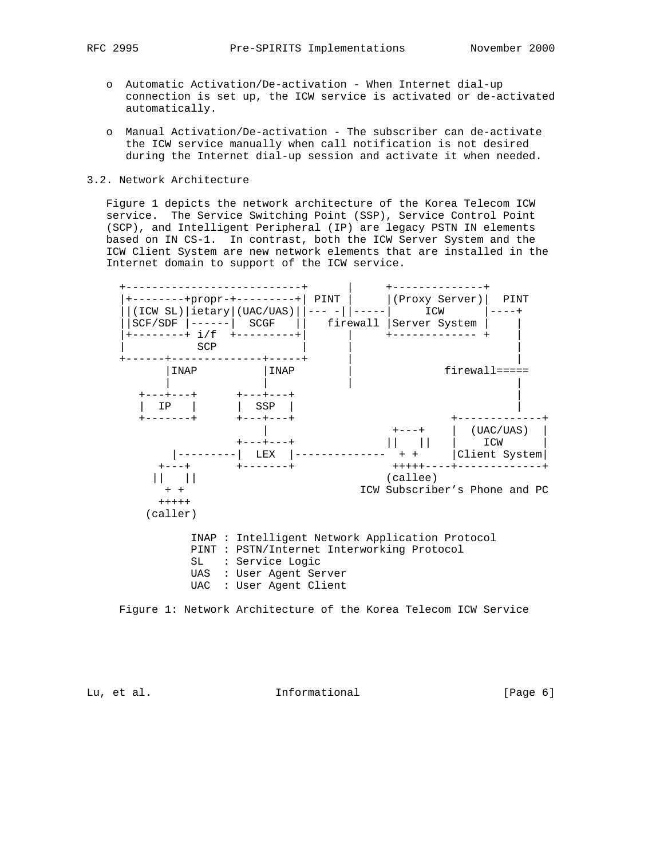- o Automatic Activation/De-activation When Internet dial-up connection is set up, the ICW service is activated or de-activated automatically.
- o Manual Activation/De-activation The subscriber can de-activate the ICW service manually when call notification is not desired during the Internet dial-up session and activate it when needed.
- 3.2. Network Architecture

 Figure 1 depicts the network architecture of the Korea Telecom ICW service. The Service Switching Point (SSP), Service Control Point (SCP), and Intelligent Peripheral (IP) are legacy PSTN IN elements based on IN CS-1. In contrast, both the ICW Server System and the ICW Client System are new network elements that are installed in the Internet domain to support of the ICW service.



Figure 1: Network Architecture of the Korea Telecom ICW Service

Lu, et al. 10. Informational 1. [Page 6]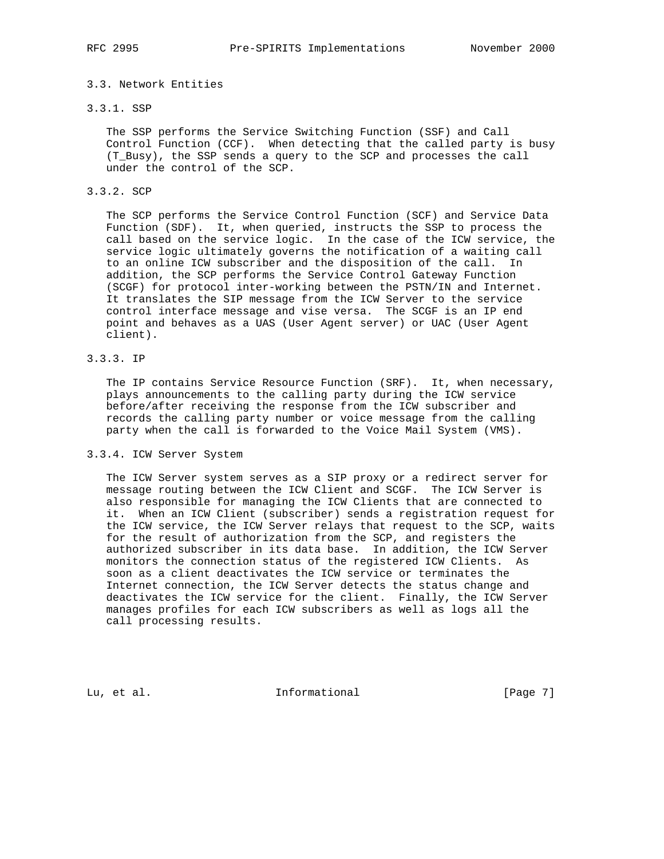## 3.3. Network Entities

### 3.3.1. SSP

 The SSP performs the Service Switching Function (SSF) and Call Control Function (CCF). When detecting that the called party is busy (T\_Busy), the SSP sends a query to the SCP and processes the call under the control of the SCP.

## 3.3.2. SCP

 The SCP performs the Service Control Function (SCF) and Service Data Function (SDF). It, when queried, instructs the SSP to process the call based on the service logic. In the case of the ICW service, the service logic ultimately governs the notification of a waiting call to an online ICW subscriber and the disposition of the call. In addition, the SCP performs the Service Control Gateway Function (SCGF) for protocol inter-working between the PSTN/IN and Internet. It translates the SIP message from the ICW Server to the service control interface message and vise versa. The SCGF is an IP end point and behaves as a UAS (User Agent server) or UAC (User Agent client).

3.3.3. IP

 The IP contains Service Resource Function (SRF). It, when necessary, plays announcements to the calling party during the ICW service before/after receiving the response from the ICW subscriber and records the calling party number or voice message from the calling party when the call is forwarded to the Voice Mail System (VMS).

### 3.3.4. ICW Server System

 The ICW Server system serves as a SIP proxy or a redirect server for message routing between the ICW Client and SCGF. The ICW Server is also responsible for managing the ICW Clients that are connected to it. When an ICW Client (subscriber) sends a registration request for the ICW service, the ICW Server relays that request to the SCP, waits for the result of authorization from the SCP, and registers the authorized subscriber in its data base. In addition, the ICW Server monitors the connection status of the registered ICW Clients. As soon as a client deactivates the ICW service or terminates the Internet connection, the ICW Server detects the status change and deactivates the ICW service for the client. Finally, the ICW Server manages profiles for each ICW subscribers as well as logs all the call processing results.

Lu, et al. 10. Informational 1.1 [Page 7]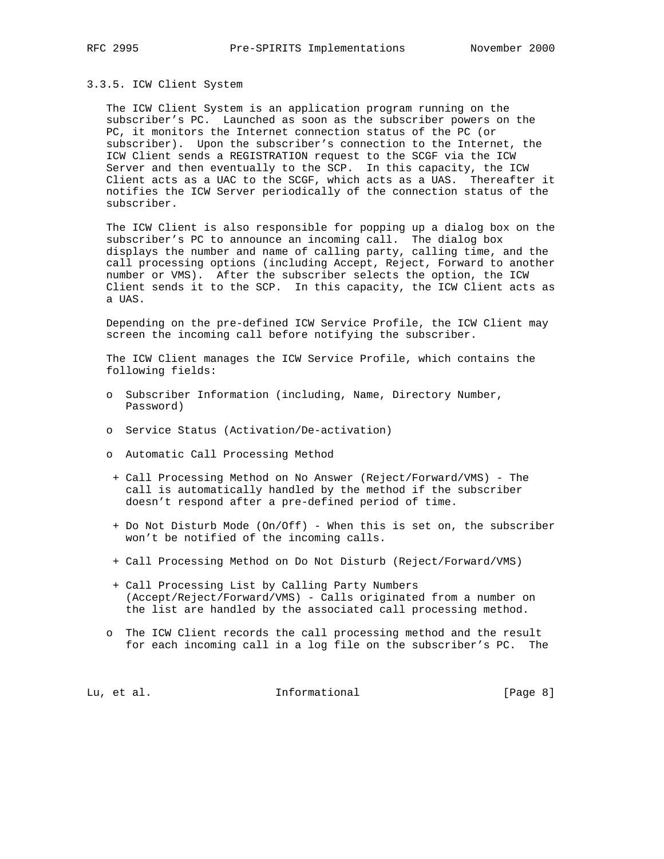### 3.3.5. ICW Client System

 The ICW Client System is an application program running on the subscriber's PC. Launched as soon as the subscriber powers on the PC, it monitors the Internet connection status of the PC (or subscriber). Upon the subscriber's connection to the Internet, the ICW Client sends a REGISTRATION request to the SCGF via the ICW Server and then eventually to the SCP. In this capacity, the ICW Client acts as a UAC to the SCGF, which acts as a UAS. Thereafter it notifies the ICW Server periodically of the connection status of the subscriber.

 The ICW Client is also responsible for popping up a dialog box on the subscriber's PC to announce an incoming call. The dialog box displays the number and name of calling party, calling time, and the call processing options (including Accept, Reject, Forward to another number or VMS). After the subscriber selects the option, the ICW Client sends it to the SCP. In this capacity, the ICW Client acts as a UAS.

 Depending on the pre-defined ICW Service Profile, the ICW Client may screen the incoming call before notifying the subscriber.

 The ICW Client manages the ICW Service Profile, which contains the following fields:

- o Subscriber Information (including, Name, Directory Number, Password)
- o Service Status (Activation/De-activation)
- o Automatic Call Processing Method
	- + Call Processing Method on No Answer (Reject/Forward/VMS) The call is automatically handled by the method if the subscriber doesn't respond after a pre-defined period of time.
	- + Do Not Disturb Mode (On/Off) When this is set on, the subscriber won't be notified of the incoming calls.
	- + Call Processing Method on Do Not Disturb (Reject/Forward/VMS)
	- + Call Processing List by Calling Party Numbers (Accept/Reject/Forward/VMS) - Calls originated from a number on the list are handled by the associated call processing method.
- o The ICW Client records the call processing method and the result for each incoming call in a log file on the subscriber's PC. The

Lu, et al. 10. Informational 1. [Page 8]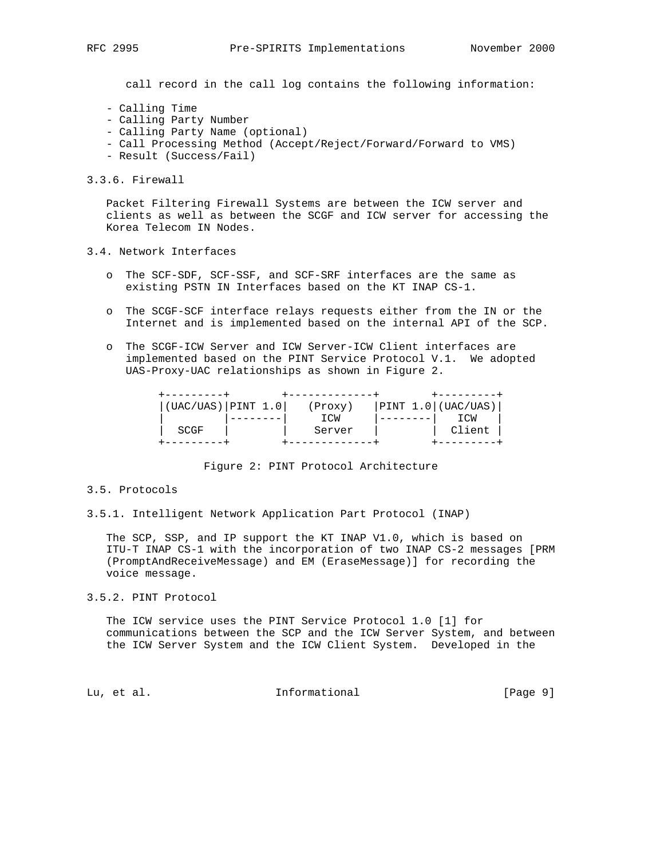call record in the call log contains the following information:

- Calling Time
- Calling Party Number
- Calling Party Name (optional)
- Call Processing Method (Accept/Reject/Forward/Forward to VMS)
- Result (Success/Fail)
- 3.3.6. Firewall

 Packet Filtering Firewall Systems are between the ICW server and clients as well as between the SCGF and ICW server for accessing the Korea Telecom IN Nodes.

- 3.4. Network Interfaces
	- o The SCF-SDF, SCF-SSF, and SCF-SRF interfaces are the same as existing PSTN IN Interfaces based on the KT INAP CS-1.
	- o The SCGF-SCF interface relays requests either from the IN or the Internet and is implemented based on the internal API of the SCP.
	- o The SCGF-ICW Server and ICW Server-ICW Client interfaces are implemented based on the PINT Service Protocol V.1. We adopted UAS-Proxy-UAC relationships as shown in Figure 2.

| $\vert$ (UAC/UAS) PINT 1.0 | (Proxy) | PINT 1.0  (UAC/UAS) |
|----------------------------|---------|---------------------|
|                            | ICW     | ⊤CW                 |
| SCGF                       | Server  | Client              |
|                            |         |                     |

Figure 2: PINT Protocol Architecture

- 3.5. Protocols
- 3.5.1. Intelligent Network Application Part Protocol (INAP)

 The SCP, SSP, and IP support the KT INAP V1.0, which is based on ITU-T INAP CS-1 with the incorporation of two INAP CS-2 messages [PRM (PromptAndReceiveMessage) and EM (EraseMessage)] for recording the voice message.

3.5.2. PINT Protocol

 The ICW service uses the PINT Service Protocol 1.0 [1] for communications between the SCP and the ICW Server System, and between the ICW Server System and the ICW Client System. Developed in the

Lu, et al. **Informational** [Page 9]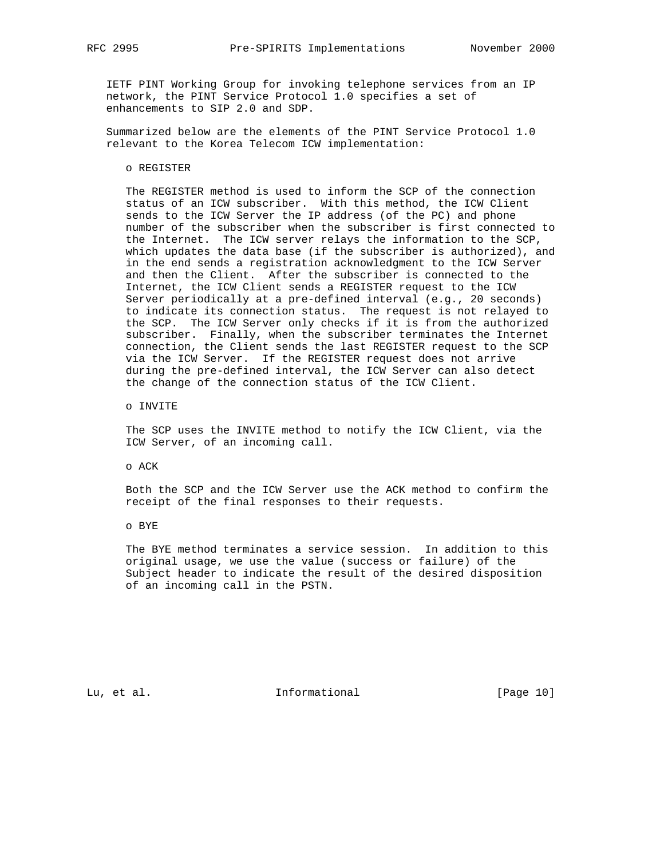IETF PINT Working Group for invoking telephone services from an IP network, the PINT Service Protocol 1.0 specifies a set of enhancements to SIP 2.0 and SDP.

 Summarized below are the elements of the PINT Service Protocol 1.0 relevant to the Korea Telecom ICW implementation:

### o REGISTER

 The REGISTER method is used to inform the SCP of the connection status of an ICW subscriber. With this method, the ICW Client sends to the ICW Server the IP address (of the PC) and phone number of the subscriber when the subscriber is first connected to the Internet. The ICW server relays the information to the SCP, which updates the data base (if the subscriber is authorized), and in the end sends a registration acknowledgment to the ICW Server and then the Client. After the subscriber is connected to the Internet, the ICW Client sends a REGISTER request to the ICW Server periodically at a pre-defined interval (e.g., 20 seconds) to indicate its connection status. The request is not relayed to the SCP. The ICW Server only checks if it is from the authorized subscriber. Finally, when the subscriber terminates the Internet connection, the Client sends the last REGISTER request to the SCP via the ICW Server. If the REGISTER request does not arrive during the pre-defined interval, the ICW Server can also detect the change of the connection status of the ICW Client.

o INVITE

 The SCP uses the INVITE method to notify the ICW Client, via the ICW Server, of an incoming call.

o ACK

 Both the SCP and the ICW Server use the ACK method to confirm the receipt of the final responses to their requests.

o BYE

 The BYE method terminates a service session. In addition to this original usage, we use the value (success or failure) of the Subject header to indicate the result of the desired disposition of an incoming call in the PSTN.

Lu, et al. 10. Informational [Page 10]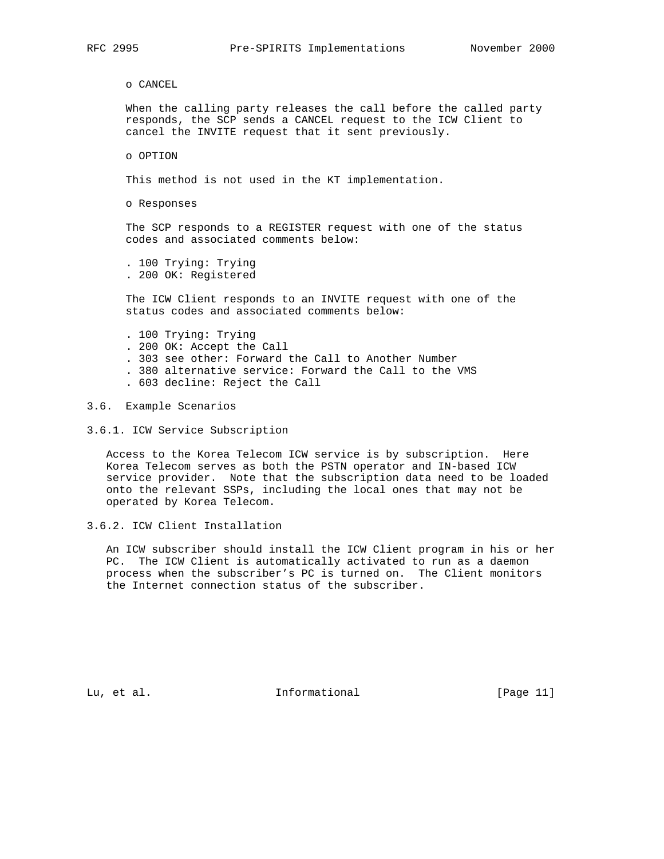o CANCEL

 When the calling party releases the call before the called party responds, the SCP sends a CANCEL request to the ICW Client to cancel the INVITE request that it sent previously.

o OPTION

This method is not used in the KT implementation.

o Responses

 The SCP responds to a REGISTER request with one of the status codes and associated comments below:

 . 100 Trying: Trying . 200 OK: Registered

 The ICW Client responds to an INVITE request with one of the status codes and associated comments below:

. 100 Trying: Trying

- . 200 OK: Accept the Call
- . 303 see other: Forward the Call to Another Number
- . 380 alternative service: Forward the Call to the VMS
- . 603 decline: Reject the Call

3.6. Example Scenarios

3.6.1. ICW Service Subscription

 Access to the Korea Telecom ICW service is by subscription. Here Korea Telecom serves as both the PSTN operator and IN-based ICW service provider. Note that the subscription data need to be loaded onto the relevant SSPs, including the local ones that may not be operated by Korea Telecom.

3.6.2. ICW Client Installation

 An ICW subscriber should install the ICW Client program in his or her PC. The ICW Client is automatically activated to run as a daemon process when the subscriber's PC is turned on. The Client monitors the Internet connection status of the subscriber.

Lu, et al. Informational [Page 11]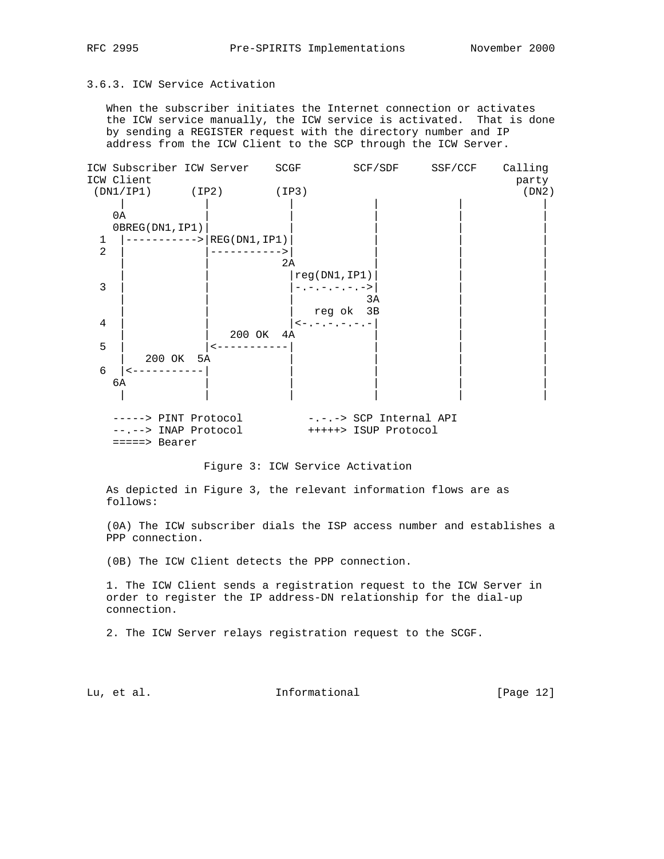# 3.6.3. ICW Service Activation

 When the subscriber initiates the Internet connection or activates the ICW service manually, the ICW service is activated. That is done by sending a REGISTER request with the directory number and IP address from the ICW Client to the SCP through the ICW Server.

|                | ICW Subscriber ICW Server SCGF |                             |       | SCF/SDF                 | SSF/CCF | Calling |
|----------------|--------------------------------|-----------------------------|-------|-------------------------|---------|---------|
|                | ICW Client                     |                             |       |                         |         | party   |
|                | (DN1/IP1)<br>(IP2)             |                             | (IP3) |                         |         | (DN2)   |
|                | 0A                             |                             |       |                         |         |         |
|                | OBREG(DN1, IP1)                |                             |       |                         |         |         |
| 1              |                                | $\rightarrow$ REG(DN1, IP1) |       |                         |         |         |
| $\overline{2}$ |                                |                             |       |                         |         |         |
|                |                                |                             | 2A    |                         |         |         |
|                |                                |                             |       | reg(DN1, IP1)           |         |         |
| 3              |                                |                             |       |                         |         |         |
|                |                                |                             |       | -.-.-.-.-><br>3A        |         |         |
|                |                                |                             |       |                         |         |         |
|                |                                |                             |       | reg ok 3B               |         |         |
| $\sqrt{4}$     |                                |                             |       | $-1 - 1 - 1 - 1 - 1$    |         |         |
|                |                                | 200 OK                      | 4A    |                         |         |         |
| 5              |                                |                             |       |                         |         |         |
|                | 200 OK 5A                      |                             |       |                         |         |         |
| 6              |                                |                             |       |                         |         |         |
|                | 6A                             |                             |       |                         |         |         |
|                |                                |                             |       |                         |         |         |
|                | -> PINT Protocol               |                             |       | -.-.-> SCP Internal API |         |         |
|                |                                |                             |       |                         |         |         |
|                | > INAP Protocol                |                             |       | +++++> ISUP Protocol    |         |         |
|                | $====>$ Bearer                 |                             |       |                         |         |         |

Figure 3: ICW Service Activation

 As depicted in Figure 3, the relevant information flows are as follows:

 (0A) The ICW subscriber dials the ISP access number and establishes a PPP connection.

(0B) The ICW Client detects the PPP connection.

 1. The ICW Client sends a registration request to the ICW Server in order to register the IP address-DN relationship for the dial-up connection.

2. The ICW Server relays registration request to the SCGF.

Lu, et al. 10. Informational 1. [Page 12]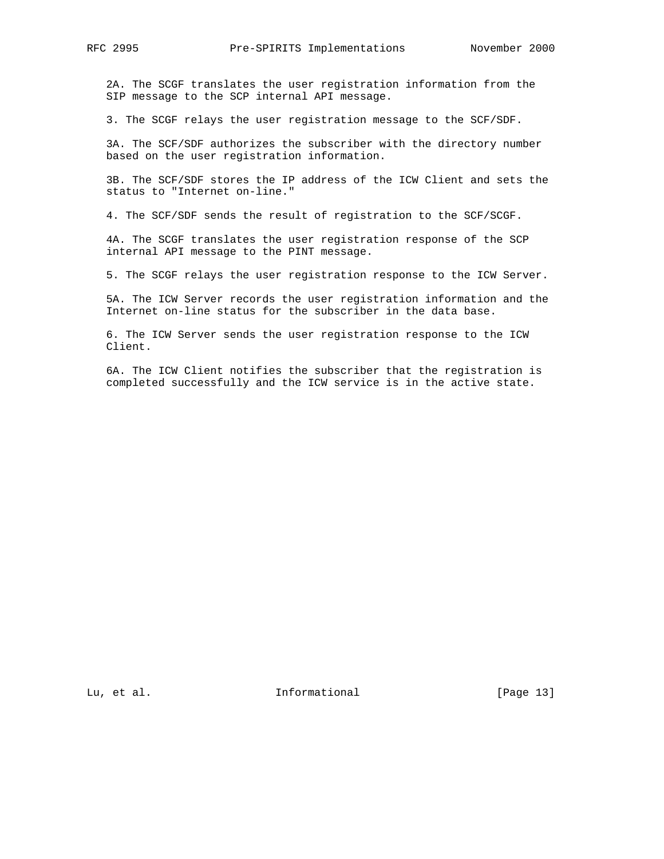2A. The SCGF translates the user registration information from the SIP message to the SCP internal API message.

3. The SCGF relays the user registration message to the SCF/SDF.

 3A. The SCF/SDF authorizes the subscriber with the directory number based on the user registration information.

 3B. The SCF/SDF stores the IP address of the ICW Client and sets the status to "Internet on-line."

4. The SCF/SDF sends the result of registration to the SCF/SCGF.

 4A. The SCGF translates the user registration response of the SCP internal API message to the PINT message.

5. The SCGF relays the user registration response to the ICW Server.

 5A. The ICW Server records the user registration information and the Internet on-line status for the subscriber in the data base.

 6. The ICW Server sends the user registration response to the ICW Client.

 6A. The ICW Client notifies the subscriber that the registration is completed successfully and the ICW service is in the active state.

Lu, et al. 10. Informational 1. [Page 13]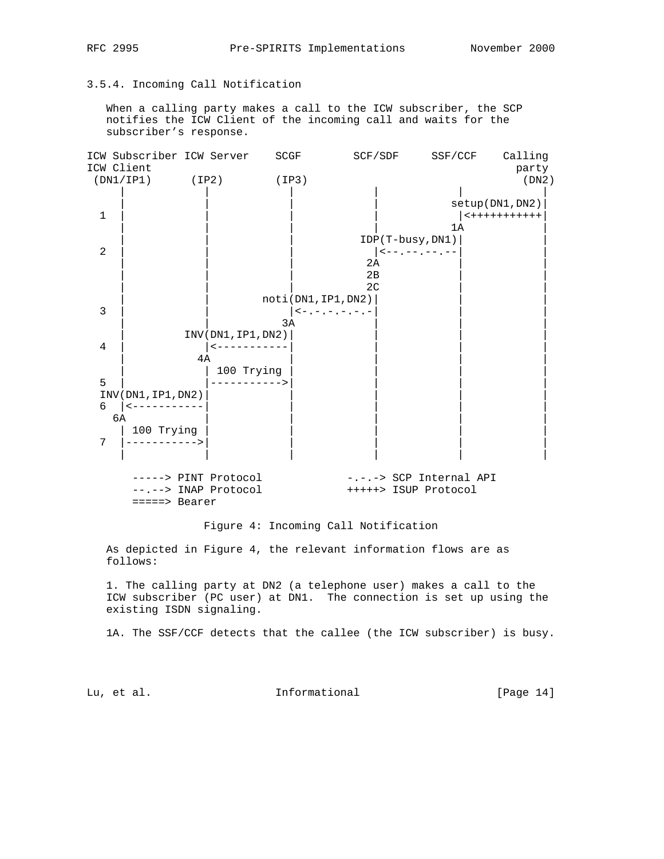# 3.5.4. Incoming Call Notification

 When a calling party makes a call to the ICW subscriber, the SCP notifies the ICW Client of the incoming call and waits for the subscriber's response.



### Figure 4: Incoming Call Notification

 As depicted in Figure 4, the relevant information flows are as follows:

 1. The calling party at DN2 (a telephone user) makes a call to the ICW subscriber (PC user) at DN1. The connection is set up using the existing ISDN signaling.

1A. The SSF/CCF detects that the callee (the ICW subscriber) is busy.

Lu, et al. 10 mm informational 11 mm informational [Page 14]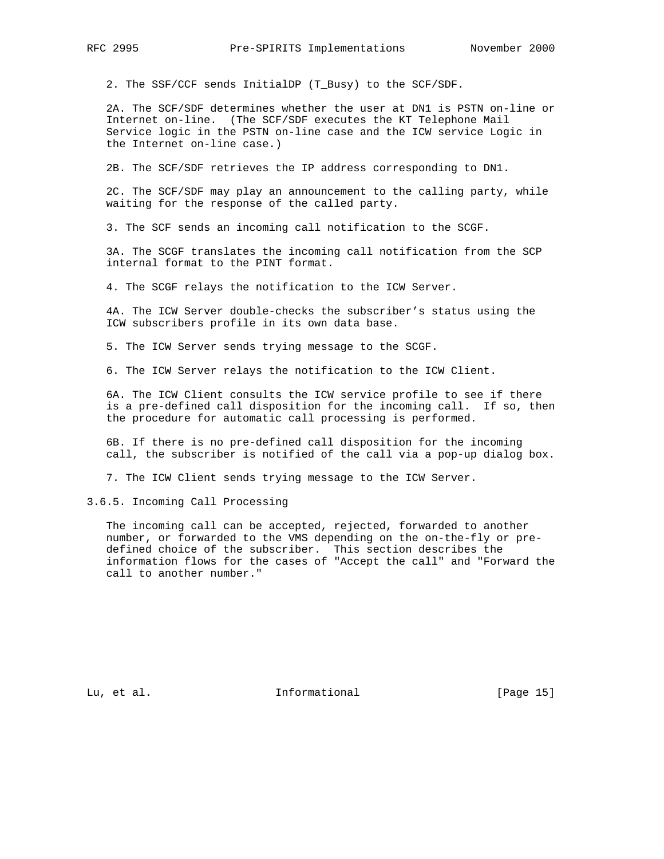2. The SSF/CCF sends InitialDP (T\_Busy) to the SCF/SDF.

 2A. The SCF/SDF determines whether the user at DN1 is PSTN on-line or Internet on-line. (The SCF/SDF executes the KT Telephone Mail Service logic in the PSTN on-line case and the ICW service Logic in the Internet on-line case.)

2B. The SCF/SDF retrieves the IP address corresponding to DN1.

 2C. The SCF/SDF may play an announcement to the calling party, while waiting for the response of the called party.

3. The SCF sends an incoming call notification to the SCGF.

 3A. The SCGF translates the incoming call notification from the SCP internal format to the PINT format.

4. The SCGF relays the notification to the ICW Server.

 4A. The ICW Server double-checks the subscriber's status using the ICW subscribers profile in its own data base.

5. The ICW Server sends trying message to the SCGF.

6. The ICW Server relays the notification to the ICW Client.

 6A. The ICW Client consults the ICW service profile to see if there is a pre-defined call disposition for the incoming call. If so, then the procedure for automatic call processing is performed.

 6B. If there is no pre-defined call disposition for the incoming call, the subscriber is notified of the call via a pop-up dialog box.

7. The ICW Client sends trying message to the ICW Server.

3.6.5. Incoming Call Processing

 The incoming call can be accepted, rejected, forwarded to another number, or forwarded to the VMS depending on the on-the-fly or pre defined choice of the subscriber. This section describes the information flows for the cases of "Accept the call" and "Forward the call to another number."

Lu, et al. 10. Informational 1. [Page 15]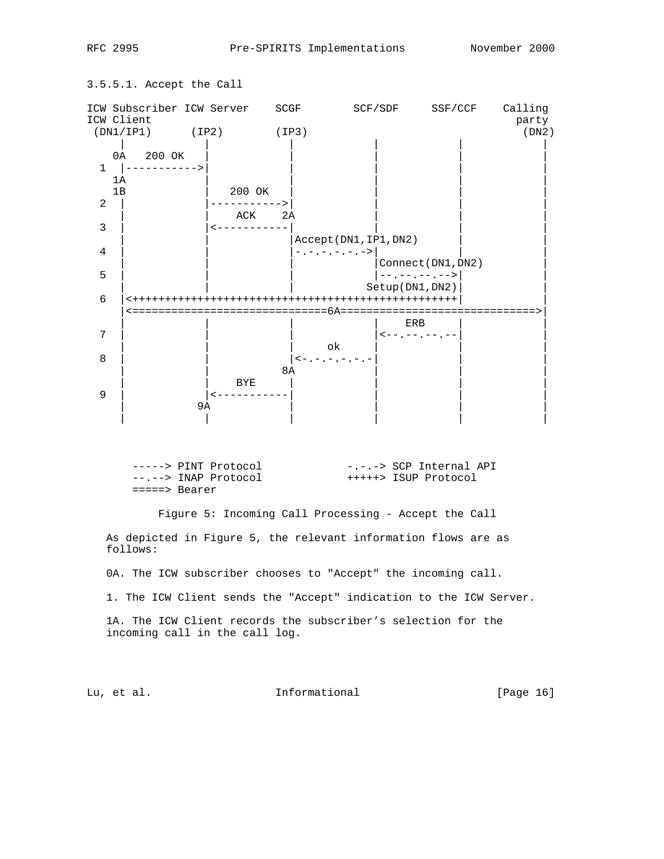# ICW Subscriber ICW Server SCGF SCF/SDF SSF/CCF Calling ICW Client party of the control of the control of the control of the control of the control of the control of the control of the control of the control of the control of the control of the control of the control of the con (DN1/IP1) (IP2) (IP3) (DN2) | | | | | | 0A 200 OK  $1 \mid$  -----------> 1A | | | | | | | | | 1B | 200 OK 2 | |----------->| | | |  $\begin{array}{|c|c|c|c|c|}\n\hline\n3 & 3 & 4 \\
\hline\n\end{array}$  3 | |<-----------| | | |  $|$  Accept(DN1, IP1, DN2)  $4 \mid$   $|-.........|$ | Connect(DN1, DN2) 5 | | | |--.--.--.-->| | Setup(DN1,DN2) 6 |<++++++++++++++++++++++++++++++++++++++++++++++++++| | |<==============================6A==============================>| | **ERB**  7 | | | |<--.--.--.--| |  $\alpha$  8 | | |<-.-.-.-.-.-| | | | | | 8A | | | | | | | | BYE | | | | 9 | |<-----------| | | | | 9A | | | | | | | | | |

-----> PINT Protocol -----> SCP Internal API --.--> INAP Protocol +++++> ISUP Protocol =====> Bearer

 Figure 5: Incoming Call Processing - Accept the Call As depicted in Figure 5, the relevant information flows are as follows:

0A. The ICW subscriber chooses to "Accept" the incoming call.

1. The ICW Client sends the "Accept" indication to the ICW Server.

 1A. The ICW Client records the subscriber's selection for the incoming call in the call log.

Lu, et al. 10. Informational 1. [Page 16]

# 3.5.5.1. Accept the Call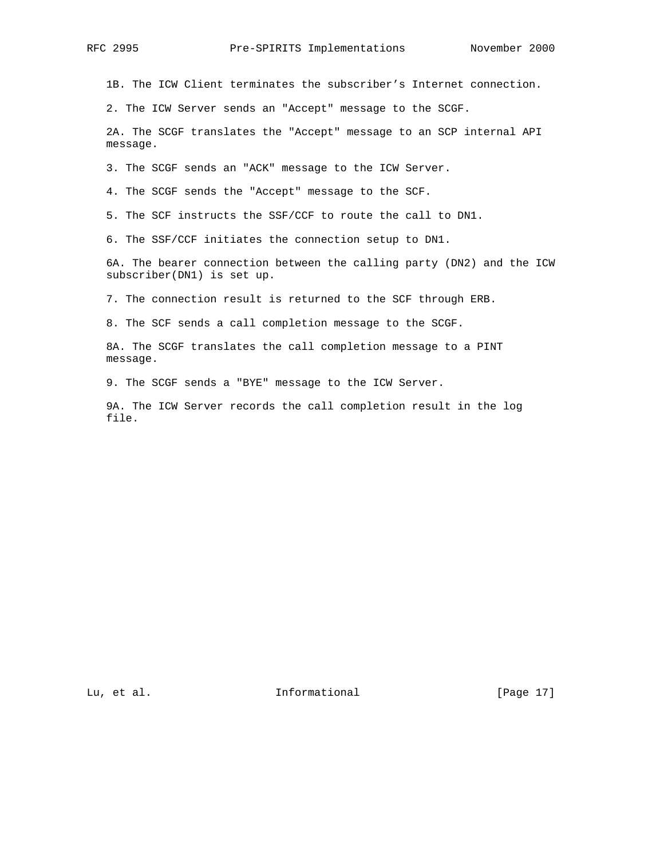1B. The ICW Client terminates the subscriber's Internet connection.

2. The ICW Server sends an "Accept" message to the SCGF.

 2A. The SCGF translates the "Accept" message to an SCP internal API message.

3. The SCGF sends an "ACK" message to the ICW Server.

4. The SCGF sends the "Accept" message to the SCF.

5. The SCF instructs the SSF/CCF to route the call to DN1.

6. The SSF/CCF initiates the connection setup to DN1.

 6A. The bearer connection between the calling party (DN2) and the ICW subscriber(DN1) is set up.

7. The connection result is returned to the SCF through ERB.

8. The SCF sends a call completion message to the SCGF.

 8A. The SCGF translates the call completion message to a PINT message.

9. The SCGF sends a "BYE" message to the ICW Server.

 9A. The ICW Server records the call completion result in the log file.

Lu, et al. 10. Informational 1. [Page 17]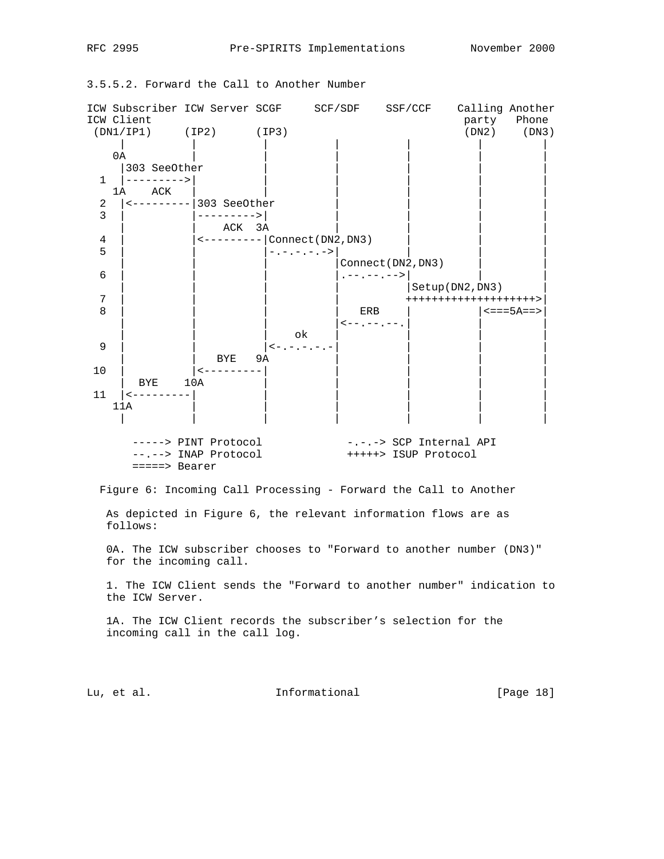3.5.5.2. Forward the Call to Another Number



Figure 6: Incoming Call Processing - Forward the Call to Another

 As depicted in Figure 6, the relevant information flows are as follows:

0A. The ICW subscriber chooses to "Forward to another number (DN3)" for the incoming call.

 1. The ICW Client sends the "Forward to another number" indication to the ICW Server.

 1A. The ICW Client records the subscriber's selection for the incoming call in the call log.

Lu, et al. 10. Informational 1. [Page 18]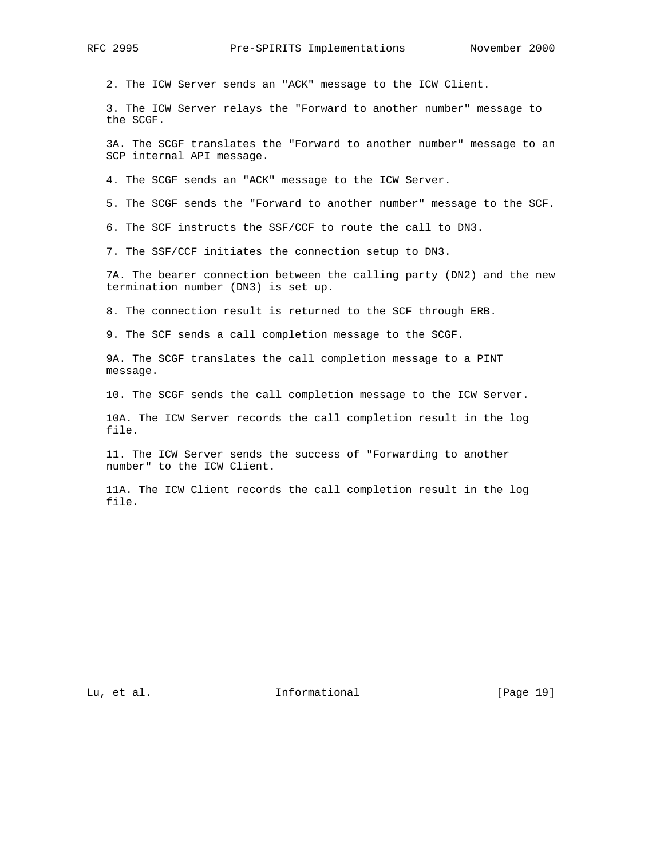2. The ICW Server sends an "ACK" message to the ICW Client.

 3. The ICW Server relays the "Forward to another number" message to the SCGF.

 3A. The SCGF translates the "Forward to another number" message to an SCP internal API message.

4. The SCGF sends an "ACK" message to the ICW Server.

5. The SCGF sends the "Forward to another number" message to the SCF.

6. The SCF instructs the SSF/CCF to route the call to DN3.

7. The SSF/CCF initiates the connection setup to DN3.

 7A. The bearer connection between the calling party (DN2) and the new termination number (DN3) is set up.

8. The connection result is returned to the SCF through ERB.

9. The SCF sends a call completion message to the SCGF.

 9A. The SCGF translates the call completion message to a PINT message.

10. The SCGF sends the call completion message to the ICW Server.

 10A. The ICW Server records the call completion result in the log file.

 11. The ICW Server sends the success of "Forwarding to another number" to the ICW Client.

 11A. The ICW Client records the call completion result in the log file.

Lu, et al. 10. Informational 1. [Page 19]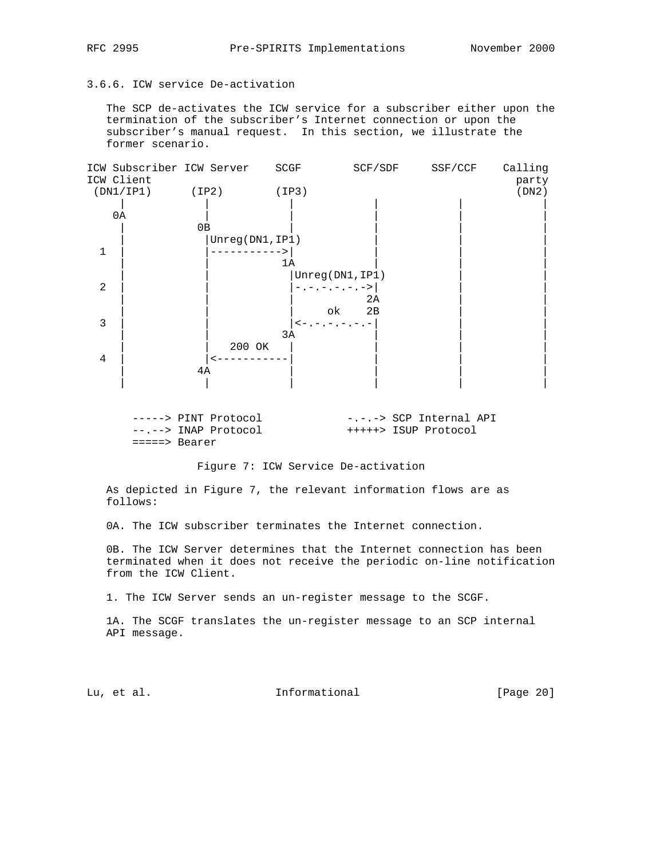# 3.6.6. ICW service De-activation

 The SCP de-activates the ICW service for a subscriber either upon the termination of the subscriber's Internet connection or upon the subscriber's manual request. In this section, we illustrate the former scenario.

| ICW Subscriber ICW Server |                 | SCGF      | SCF/SDF         | SSF/CCF | Calling |
|---------------------------|-----------------|-----------|-----------------|---------|---------|
| ICW Client                |                 |           |                 |         | party   |
| (DNI/IP1)                 | (IP2)           | (IP3)     |                 |         | (DN2)   |
|                           |                 |           |                 |         |         |
| 0A                        |                 |           |                 |         |         |
|                           | 0B              |           |                 |         |         |
|                           | Unreg(DN1, IP1) |           |                 |         |         |
| $1\,$                     |                 |           |                 |         |         |
|                           |                 | 1A        |                 |         |         |
|                           |                 |           | Unreg(DN1, IP1) |         |         |
| $\overline{2}$            |                 |           |                 |         |         |
|                           |                 |           | 2A              |         |         |
|                           |                 |           | ok<br>2B        |         |         |
| 3                         |                 | $\lt$ $-$ |                 |         |         |
|                           |                 | 3A        |                 |         |         |
|                           | 200 OK          |           |                 |         |         |
| $\overline{4}$            |                 |           |                 |         |         |
|                           | 4A              |           |                 |         |         |
|                           |                 |           |                 |         |         |
|                           |                 |           |                 |         |         |
|                           |                 |           |                 |         |         |

| -----> PINT Protocol | -.-.-> SCP Internal API |
|----------------------|-------------------------|
| --.--> INAP Protocol | +++++> ISUP Protocol    |
| =====> Bearer        |                         |

Figure 7: ICW Service De-activation

 As depicted in Figure 7, the relevant information flows are as follows:

0A. The ICW subscriber terminates the Internet connection.

 0B. The ICW Server determines that the Internet connection has been terminated when it does not receive the periodic on-line notification from the ICW Client.

1. The ICW Server sends an un-register message to the SCGF.

 1A. The SCGF translates the un-register message to an SCP internal API message.

Lu, et al. 10. Informational 1. [Page 20]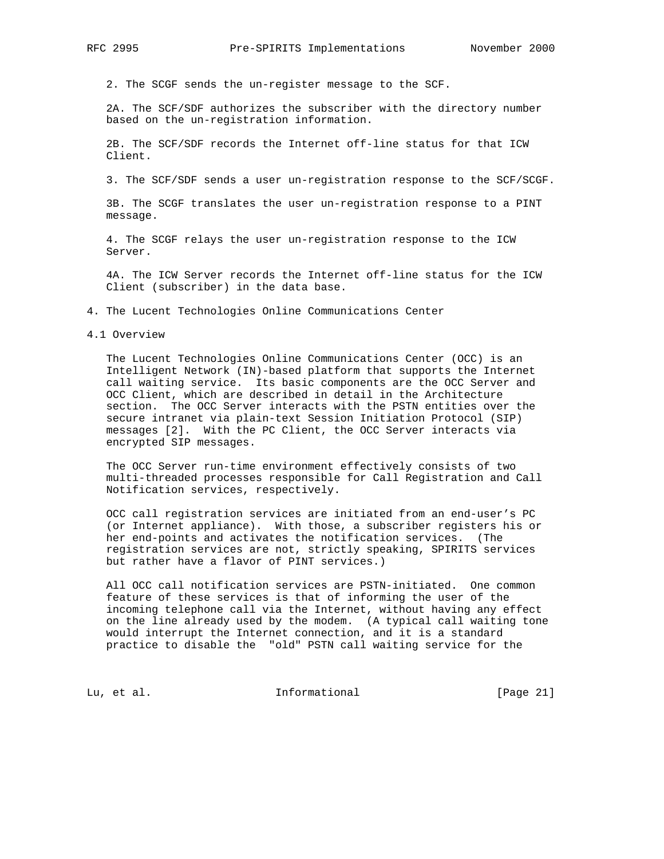2. The SCGF sends the un-register message to the SCF.

 2A. The SCF/SDF authorizes the subscriber with the directory number based on the un-registration information.

 2B. The SCF/SDF records the Internet off-line status for that ICW Client.

3. The SCF/SDF sends a user un-registration response to the SCF/SCGF.

 3B. The SCGF translates the user un-registration response to a PINT message.

 4. The SCGF relays the user un-registration response to the ICW Server.

 4A. The ICW Server records the Internet off-line status for the ICW Client (subscriber) in the data base.

4. The Lucent Technologies Online Communications Center

4.1 Overview

 The Lucent Technologies Online Communications Center (OCC) is an Intelligent Network (IN)-based platform that supports the Internet call waiting service. Its basic components are the OCC Server and OCC Client, which are described in detail in the Architecture section. The OCC Server interacts with the PSTN entities over the secure intranet via plain-text Session Initiation Protocol (SIP) messages [2]. With the PC Client, the OCC Server interacts via encrypted SIP messages.

 The OCC Server run-time environment effectively consists of two multi-threaded processes responsible for Call Registration and Call Notification services, respectively.

 OCC call registration services are initiated from an end-user's PC (or Internet appliance). With those, a subscriber registers his or her end-points and activates the notification services. (The registration services are not, strictly speaking, SPIRITS services but rather have a flavor of PINT services.)

 All OCC call notification services are PSTN-initiated. One common feature of these services is that of informing the user of the incoming telephone call via the Internet, without having any effect on the line already used by the modem. (A typical call waiting tone would interrupt the Internet connection, and it is a standard practice to disable the "old" PSTN call waiting service for the

Lu, et al. 10. Informational 1. [Page 21]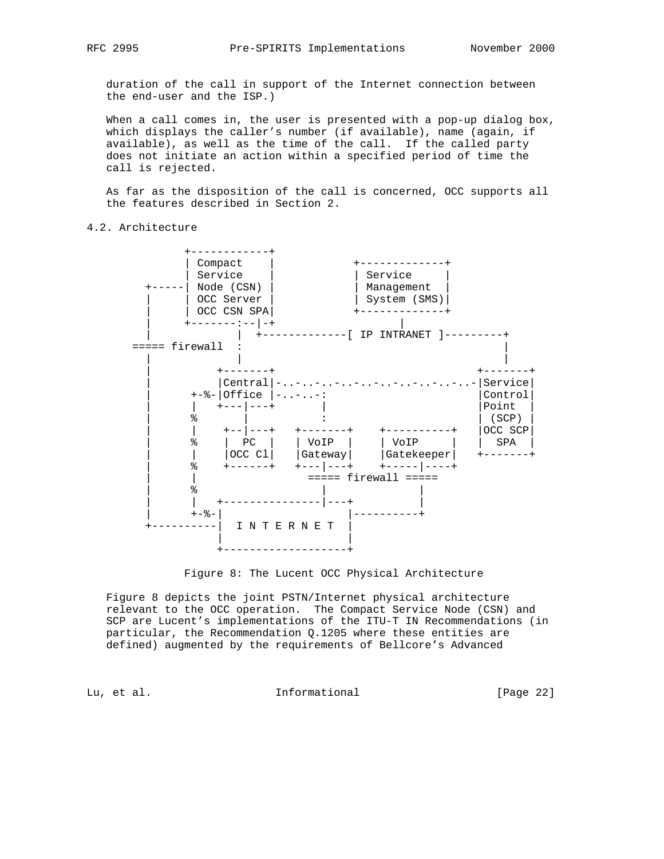duration of the call in support of the Internet connection between

When a call comes in, the user is presented with a pop-up dialog box, which displays the caller's number (if available), name (again, if available), as well as the time of the call. If the called party does not initiate an action within a specified period of time the call is rejected.

 As far as the disposition of the call is concerned, OCC supports all the features described in Section 2.

4.2. Architecture

the end-user and the ISP.)



Figure 8: The Lucent OCC Physical Architecture

 Figure 8 depicts the joint PSTN/Internet physical architecture relevant to the OCC operation. The Compact Service Node (CSN) and SCP are Lucent's implementations of the ITU-T IN Recommendations (in particular, the Recommendation Q.1205 where these entities are defined) augmented by the requirements of Bellcore's Advanced

Lu, et al. 10. Informational 1. [Page 22]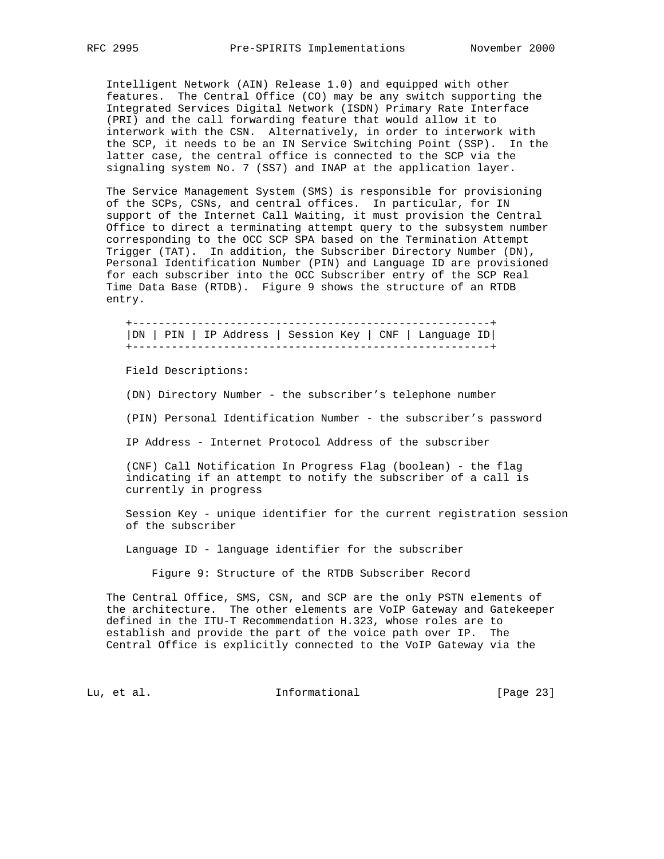Intelligent Network (AIN) Release 1.0) and equipped with other features. The Central Office (CO) may be any switch supporting the Integrated Services Digital Network (ISDN) Primary Rate Interface (PRI) and the call forwarding feature that would allow it to interwork with the CSN. Alternatively, in order to interwork with the SCP, it needs to be an IN Service Switching Point (SSP). In the latter case, the central office is connected to the SCP via the signaling system No. 7 (SS7) and INAP at the application layer.

 The Service Management System (SMS) is responsible for provisioning of the SCPs, CSNs, and central offices. In particular, for IN support of the Internet Call Waiting, it must provision the Central Office to direct a terminating attempt query to the subsystem number corresponding to the OCC SCP SPA based on the Termination Attempt Trigger (TAT). In addition, the Subscriber Directory Number (DN), Personal Identification Number (PIN) and Language ID are provisioned for each subscriber into the OCC Subscriber entry of the SCP Real Time Data Base (RTDB). Figure 9 shows the structure of an RTDB entry.

 +-------------------------------------------------------+ |DN | PIN | IP Address | Session Key | CNF | Language ID| +-------------------------------------------------------+

Field Descriptions:

(DN) Directory Number - the subscriber's telephone number

(PIN) Personal Identification Number - the subscriber's password

IP Address - Internet Protocol Address of the subscriber

 (CNF) Call Notification In Progress Flag (boolean) - the flag indicating if an attempt to notify the subscriber of a call is currently in progress

 Session Key - unique identifier for the current registration session of the subscriber

Language ID - language identifier for the subscriber

Figure 9: Structure of the RTDB Subscriber Record

 The Central Office, SMS, CSN, and SCP are the only PSTN elements of the architecture. The other elements are VoIP Gateway and Gatekeeper defined in the ITU-T Recommendation H.323, whose roles are to establish and provide the part of the voice path over IP. The Central Office is explicitly connected to the VoIP Gateway via the

Lu, et al. 10. Informational 1. [Page 23]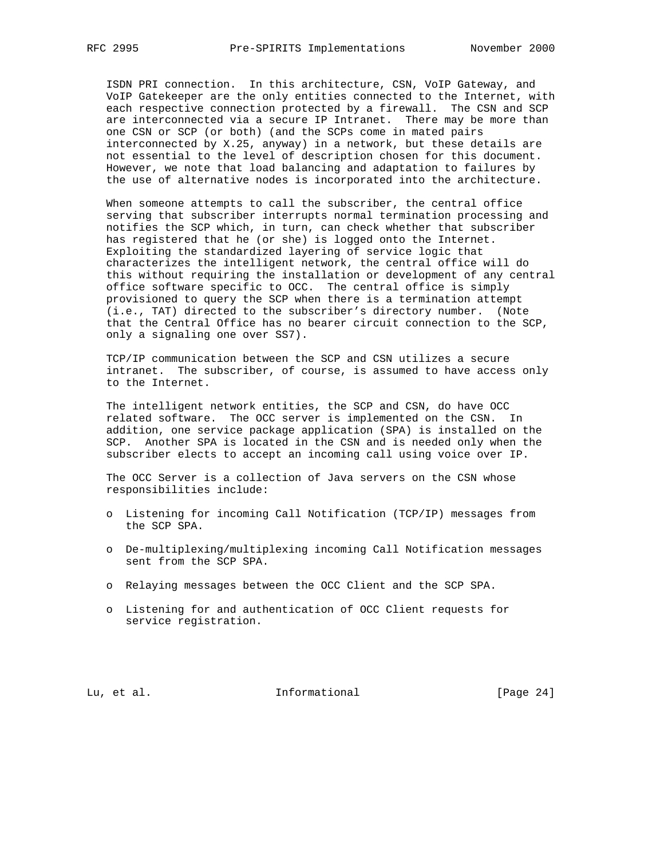ISDN PRI connection. In this architecture, CSN, VoIP Gateway, and VoIP Gatekeeper are the only entities connected to the Internet, with each respective connection protected by a firewall. The CSN and SCP are interconnected via a secure IP Intranet. There may be more than one CSN or SCP (or both) (and the SCPs come in mated pairs interconnected by X.25, anyway) in a network, but these details are not essential to the level of description chosen for this document. However, we note that load balancing and adaptation to failures by the use of alternative nodes is incorporated into the architecture.

 When someone attempts to call the subscriber, the central office serving that subscriber interrupts normal termination processing and notifies the SCP which, in turn, can check whether that subscriber has registered that he (or she) is logged onto the Internet. Exploiting the standardized layering of service logic that characterizes the intelligent network, the central office will do this without requiring the installation or development of any central office software specific to OCC. The central office is simply provisioned to query the SCP when there is a termination attempt (i.e., TAT) directed to the subscriber's directory number. (Note that the Central Office has no bearer circuit connection to the SCP, only a signaling one over SS7).

 TCP/IP communication between the SCP and CSN utilizes a secure intranet. The subscriber, of course, is assumed to have access only to the Internet.

 The intelligent network entities, the SCP and CSN, do have OCC related software. The OCC server is implemented on the CSN. In addition, one service package application (SPA) is installed on the SCP. Another SPA is located in the CSN and is needed only when the subscriber elects to accept an incoming call using voice over IP.

 The OCC Server is a collection of Java servers on the CSN whose responsibilities include:

- o Listening for incoming Call Notification (TCP/IP) messages from the SCP SPA.
- o De-multiplexing/multiplexing incoming Call Notification messages sent from the SCP SPA.
- o Relaying messages between the OCC Client and the SCP SPA.
- o Listening for and authentication of OCC Client requests for service registration.

Lu, et al. 10. Informational 1. [Page 24]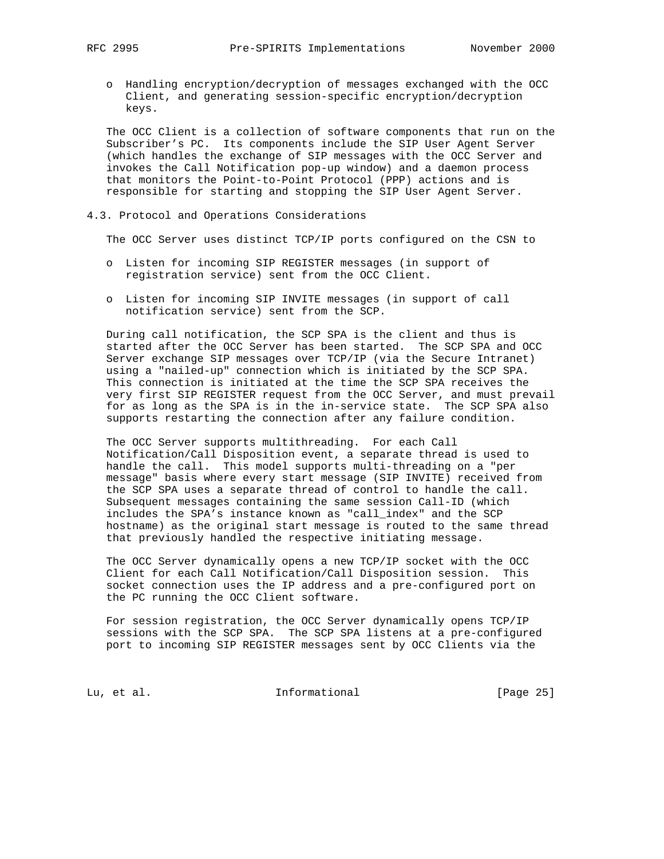o Handling encryption/decryption of messages exchanged with the OCC Client, and generating session-specific encryption/decryption keys.

 The OCC Client is a collection of software components that run on the Subscriber's PC. Its components include the SIP User Agent Server (which handles the exchange of SIP messages with the OCC Server and invokes the Call Notification pop-up window) and a daemon process that monitors the Point-to-Point Protocol (PPP) actions and is responsible for starting and stopping the SIP User Agent Server.

## 4.3. Protocol and Operations Considerations

The OCC Server uses distinct TCP/IP ports configured on the CSN to

- o Listen for incoming SIP REGISTER messages (in support of registration service) sent from the OCC Client.
- o Listen for incoming SIP INVITE messages (in support of call notification service) sent from the SCP.

 During call notification, the SCP SPA is the client and thus is started after the OCC Server has been started. The SCP SPA and OCC Server exchange SIP messages over TCP/IP (via the Secure Intranet) using a "nailed-up" connection which is initiated by the SCP SPA. This connection is initiated at the time the SCP SPA receives the very first SIP REGISTER request from the OCC Server, and must prevail for as long as the SPA is in the in-service state. The SCP SPA also supports restarting the connection after any failure condition.

 The OCC Server supports multithreading. For each Call Notification/Call Disposition event, a separate thread is used to handle the call. This model supports multi-threading on a "per message" basis where every start message (SIP INVITE) received from the SCP SPA uses a separate thread of control to handle the call. Subsequent messages containing the same session Call-ID (which includes the SPA's instance known as "call\_index" and the SCP hostname) as the original start message is routed to the same thread that previously handled the respective initiating message.

 The OCC Server dynamically opens a new TCP/IP socket with the OCC Client for each Call Notification/Call Disposition session. This socket connection uses the IP address and a pre-configured port on the PC running the OCC Client software.

 For session registration, the OCC Server dynamically opens TCP/IP sessions with the SCP SPA. The SCP SPA listens at a pre-configured port to incoming SIP REGISTER messages sent by OCC Clients via the

Lu, et al. 10. Informational 1. [Page 25]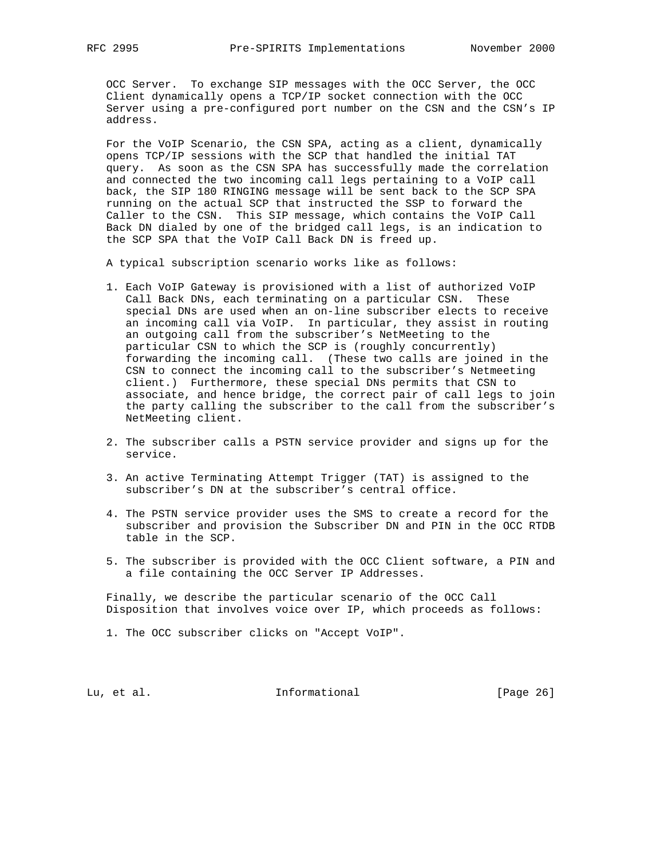OCC Server. To exchange SIP messages with the OCC Server, the OCC Client dynamically opens a TCP/IP socket connection with the OCC Server using a pre-configured port number on the CSN and the CSN's IP address.

 For the VoIP Scenario, the CSN SPA, acting as a client, dynamically opens TCP/IP sessions with the SCP that handled the initial TAT query. As soon as the CSN SPA has successfully made the correlation and connected the two incoming call legs pertaining to a VoIP call back, the SIP 180 RINGING message will be sent back to the SCP SPA running on the actual SCP that instructed the SSP to forward the Caller to the CSN. This SIP message, which contains the VoIP Call Back DN dialed by one of the bridged call legs, is an indication to the SCP SPA that the VoIP Call Back DN is freed up.

A typical subscription scenario works like as follows:

- 1. Each VoIP Gateway is provisioned with a list of authorized VoIP Call Back DNs, each terminating on a particular CSN. These special DNs are used when an on-line subscriber elects to receive an incoming call via VoIP. In particular, they assist in routing an outgoing call from the subscriber's NetMeeting to the particular CSN to which the SCP is (roughly concurrently) forwarding the incoming call. (These two calls are joined in the CSN to connect the incoming call to the subscriber's Netmeeting client.) Furthermore, these special DNs permits that CSN to associate, and hence bridge, the correct pair of call legs to join the party calling the subscriber to the call from the subscriber's NetMeeting client.
- 2. The subscriber calls a PSTN service provider and signs up for the service.
- 3. An active Terminating Attempt Trigger (TAT) is assigned to the subscriber's DN at the subscriber's central office.
- 4. The PSTN service provider uses the SMS to create a record for the subscriber and provision the Subscriber DN and PIN in the OCC RTDB table in the SCP.
- 5. The subscriber is provided with the OCC Client software, a PIN and a file containing the OCC Server IP Addresses.

 Finally, we describe the particular scenario of the OCC Call Disposition that involves voice over IP, which proceeds as follows:

1. The OCC subscriber clicks on "Accept VoIP".

Lu, et al. 10. Informational 1. [Page 26]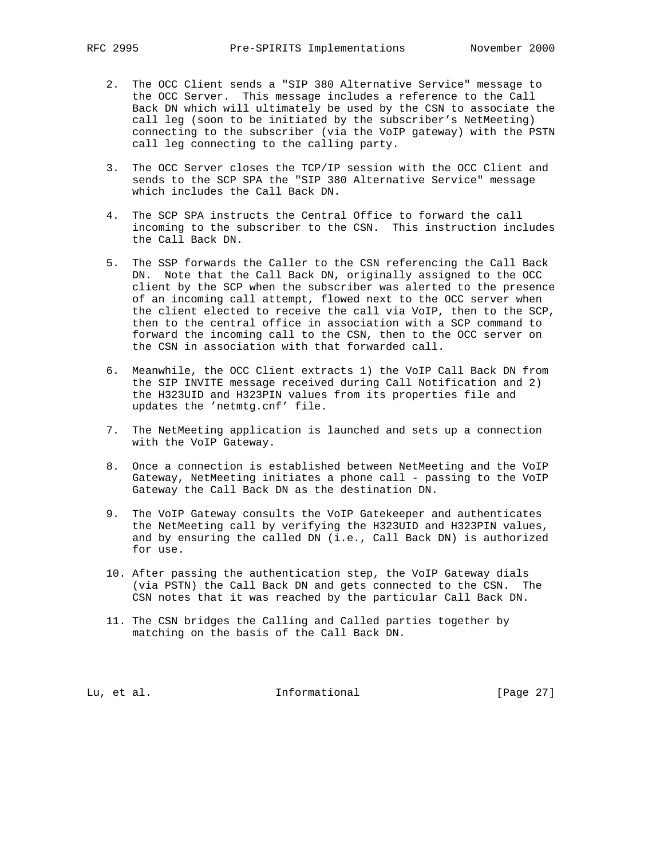- 2. The OCC Client sends a "SIP 380 Alternative Service" message to the OCC Server. This message includes a reference to the Call Back DN which will ultimately be used by the CSN to associate the call leg (soon to be initiated by the subscriber's NetMeeting) connecting to the subscriber (via the VoIP gateway) with the PSTN call leg connecting to the calling party.
- 3. The OCC Server closes the TCP/IP session with the OCC Client and sends to the SCP SPA the "SIP 380 Alternative Service" message which includes the Call Back DN.
- 4. The SCP SPA instructs the Central Office to forward the call incoming to the subscriber to the CSN. This instruction includes the Call Back DN.
- 5. The SSP forwards the Caller to the CSN referencing the Call Back DN. Note that the Call Back DN, originally assigned to the OCC client by the SCP when the subscriber was alerted to the presence of an incoming call attempt, flowed next to the OCC server when the client elected to receive the call via VoIP, then to the SCP, then to the central office in association with a SCP command to forward the incoming call to the CSN, then to the OCC server on the CSN in association with that forwarded call.
- 6. Meanwhile, the OCC Client extracts 1) the VoIP Call Back DN from the SIP INVITE message received during Call Notification and 2) the H323UID and H323PIN values from its properties file and updates the 'netmtg.cnf' file.
- 7. The NetMeeting application is launched and sets up a connection with the VoIP Gateway.
- 8. Once a connection is established between NetMeeting and the VoIP Gateway, NetMeeting initiates a phone call - passing to the VoIP Gateway the Call Back DN as the destination DN.
- 9. The VoIP Gateway consults the VoIP Gatekeeper and authenticates the NetMeeting call by verifying the H323UID and H323PIN values, and by ensuring the called DN (i.e., Call Back DN) is authorized for use.
- 10. After passing the authentication step, the VoIP Gateway dials (via PSTN) the Call Back DN and gets connected to the CSN. The CSN notes that it was reached by the particular Call Back DN.
- 11. The CSN bridges the Calling and Called parties together by matching on the basis of the Call Back DN.

Lu, et al. 10. Informational 1. [Page 27]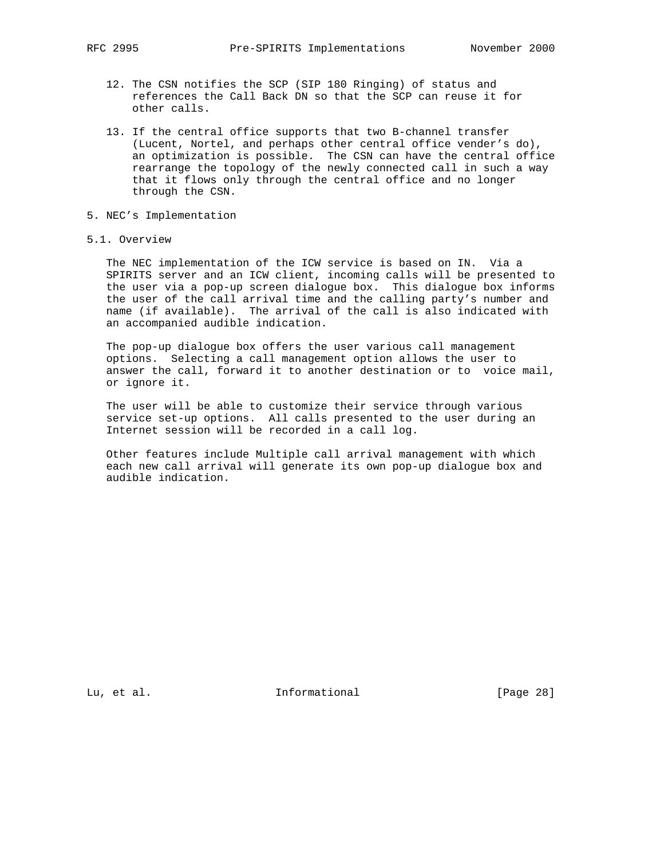- 12. The CSN notifies the SCP (SIP 180 Ringing) of status and references the Call Back DN so that the SCP can reuse it for other calls.
- 13. If the central office supports that two B-channel transfer (Lucent, Nortel, and perhaps other central office vender's do), an optimization is possible. The CSN can have the central office rearrange the topology of the newly connected call in such a way that it flows only through the central office and no longer through the CSN.
- 5. NEC's Implementation
- 5.1. Overview

 The NEC implementation of the ICW service is based on IN. Via a SPIRITS server and an ICW client, incoming calls will be presented to the user via a pop-up screen dialogue box. This dialogue box informs the user of the call arrival time and the calling party's number and name (if available). The arrival of the call is also indicated with an accompanied audible indication.

 The pop-up dialogue box offers the user various call management options. Selecting a call management option allows the user to answer the call, forward it to another destination or to voice mail, or ignore it.

 The user will be able to customize their service through various service set-up options. All calls presented to the user during an Internet session will be recorded in a call log.

 Other features include Multiple call arrival management with which each new call arrival will generate its own pop-up dialogue box and audible indication.

Lu, et al. 10. Informational 1. [Page 28]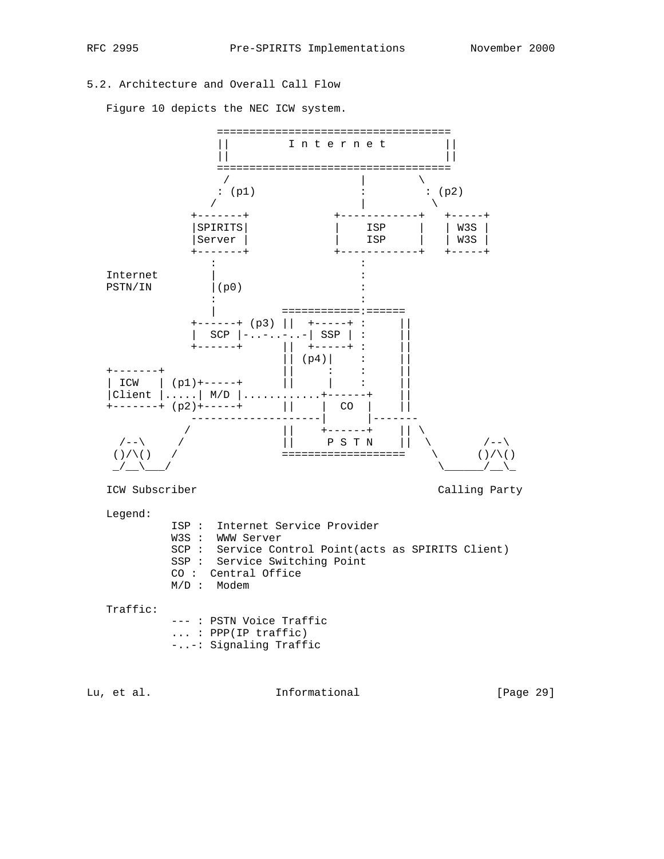5.2. Architecture and Overall Call Flow

Figure 10 depicts the NEC ICW system.

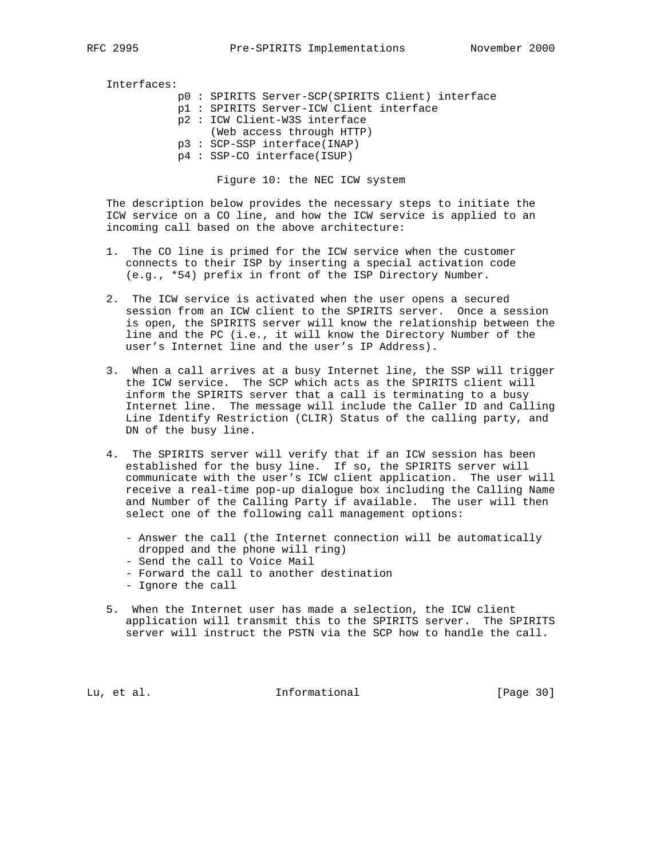Interfaces:

 p0 : SPIRITS Server-SCP(SPIRITS Client) interface p1 : SPIRITS Server-ICW Client interface p2 : ICW Client-W3S interface (Web access through HTTP) p3 : SCP-SSP interface(INAP) p4 : SSP-CO interface(ISUP)

Figure 10: the NEC ICW system

 The description below provides the necessary steps to initiate the ICW service on a CO line, and how the ICW service is applied to an incoming call based on the above architecture:

- 1. The CO line is primed for the ICW service when the customer connects to their ISP by inserting a special activation code (e.g., \*54) prefix in front of the ISP Directory Number.
- 2. The ICW service is activated when the user opens a secured session from an ICW client to the SPIRITS server. Once a session is open, the SPIRITS server will know the relationship between the line and the PC (i.e., it will know the Directory Number of the user's Internet line and the user's IP Address).
- 3. When a call arrives at a busy Internet line, the SSP will trigger the ICW service. The SCP which acts as the SPIRITS client will inform the SPIRITS server that a call is terminating to a busy Internet line. The message will include the Caller ID and Calling Line Identify Restriction (CLIR) Status of the calling party, and DN of the busy line.
- 4. The SPIRITS server will verify that if an ICW session has been established for the busy line. If so, the SPIRITS server will communicate with the user's ICW client application. The user will receive a real-time pop-up dialogue box including the Calling Name and Number of the Calling Party if available. The user will then select one of the following call management options:
	- Answer the call (the Internet connection will be automatically dropped and the phone will ring)
	- Send the call to Voice Mail
	- Forward the call to another destination
	- Ignore the call
- 5. When the Internet user has made a selection, the ICW client application will transmit this to the SPIRITS server. The SPIRITS server will instruct the PSTN via the SCP how to handle the call.

Lu, et al. Informational [Page 30]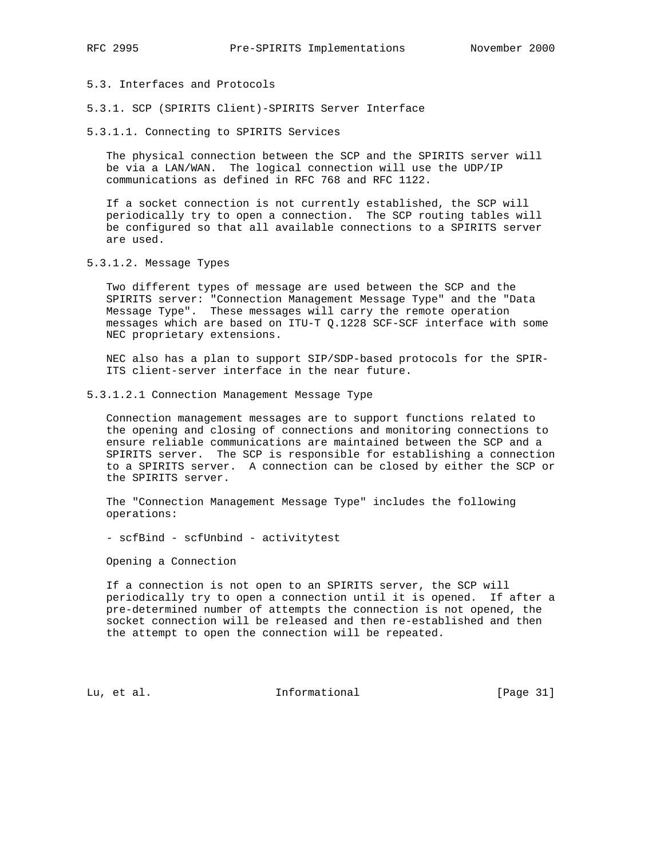5.3. Interfaces and Protocols

5.3.1. SCP (SPIRITS Client)-SPIRITS Server Interface

5.3.1.1. Connecting to SPIRITS Services

 The physical connection between the SCP and the SPIRITS server will be via a LAN/WAN. The logical connection will use the UDP/IP communications as defined in RFC 768 and RFC 1122.

 If a socket connection is not currently established, the SCP will periodically try to open a connection. The SCP routing tables will be configured so that all available connections to a SPIRITS server are used.

5.3.1.2. Message Types

 Two different types of message are used between the SCP and the SPIRITS server: "Connection Management Message Type" and the "Data Message Type". These messages will carry the remote operation messages which are based on ITU-T Q.1228 SCF-SCF interface with some NEC proprietary extensions.

 NEC also has a plan to support SIP/SDP-based protocols for the SPIR- ITS client-server interface in the near future.

5.3.1.2.1 Connection Management Message Type

 Connection management messages are to support functions related to the opening and closing of connections and monitoring connections to ensure reliable communications are maintained between the SCP and a SPIRITS server. The SCP is responsible for establishing a connection to a SPIRITS server. A connection can be closed by either the SCP or the SPIRITS server.

 The "Connection Management Message Type" includes the following operations:

- scfBind - scfUnbind - activitytest

Opening a Connection

 If a connection is not open to an SPIRITS server, the SCP will periodically try to open a connection until it is opened. If after a pre-determined number of attempts the connection is not opened, the socket connection will be released and then re-established and then the attempt to open the connection will be repeated.

Lu, et al. 10. Informational 1. [Page 31]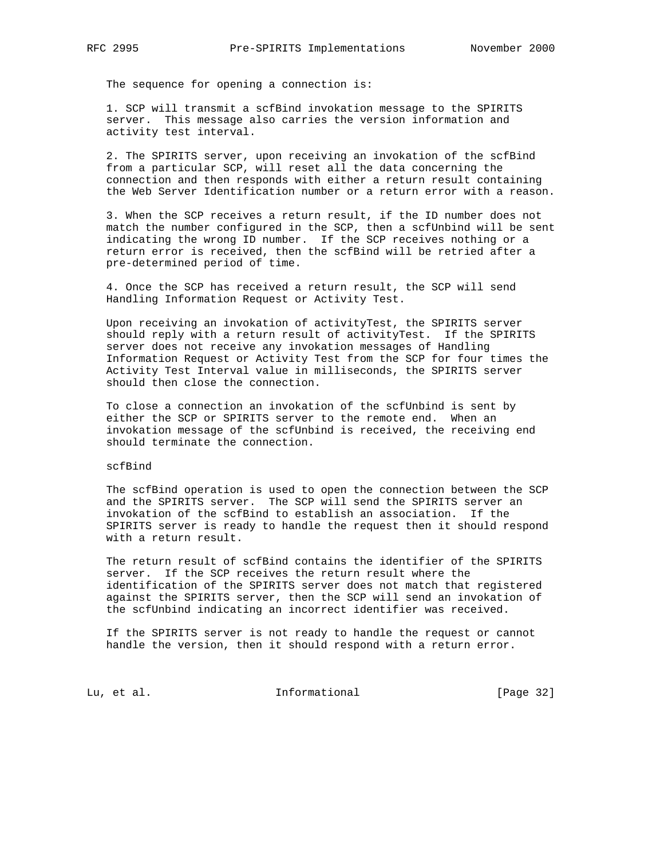The sequence for opening a connection is:

 1. SCP will transmit a scfBind invokation message to the SPIRITS server. This message also carries the version information and activity test interval.

 2. The SPIRITS server, upon receiving an invokation of the scfBind from a particular SCP, will reset all the data concerning the connection and then responds with either a return result containing the Web Server Identification number or a return error with a reason.

 3. When the SCP receives a return result, if the ID number does not match the number configured in the SCP, then a scfUnbind will be sent indicating the wrong ID number. If the SCP receives nothing or a return error is received, then the scfBind will be retried after a pre-determined period of time.

 4. Once the SCP has received a return result, the SCP will send Handling Information Request or Activity Test.

 Upon receiving an invokation of activityTest, the SPIRITS server should reply with a return result of activityTest. If the SPIRITS server does not receive any invokation messages of Handling Information Request or Activity Test from the SCP for four times the Activity Test Interval value in milliseconds, the SPIRITS server should then close the connection.

 To close a connection an invokation of the scfUnbind is sent by either the SCP or SPIRITS server to the remote end. When an invokation message of the scfUnbind is received, the receiving end should terminate the connection.

scfBind

 The scfBind operation is used to open the connection between the SCP and the SPIRITS server. The SCP will send the SPIRITS server an invokation of the scfBind to establish an association. If the SPIRITS server is ready to handle the request then it should respond with a return result.

 The return result of scfBind contains the identifier of the SPIRITS server. If the SCP receives the return result where the identification of the SPIRITS server does not match that registered against the SPIRITS server, then the SCP will send an invokation of the scfUnbind indicating an incorrect identifier was received.

 If the SPIRITS server is not ready to handle the request or cannot handle the version, then it should respond with a return error.

Lu, et al. 10. Informational 1. [Page 32]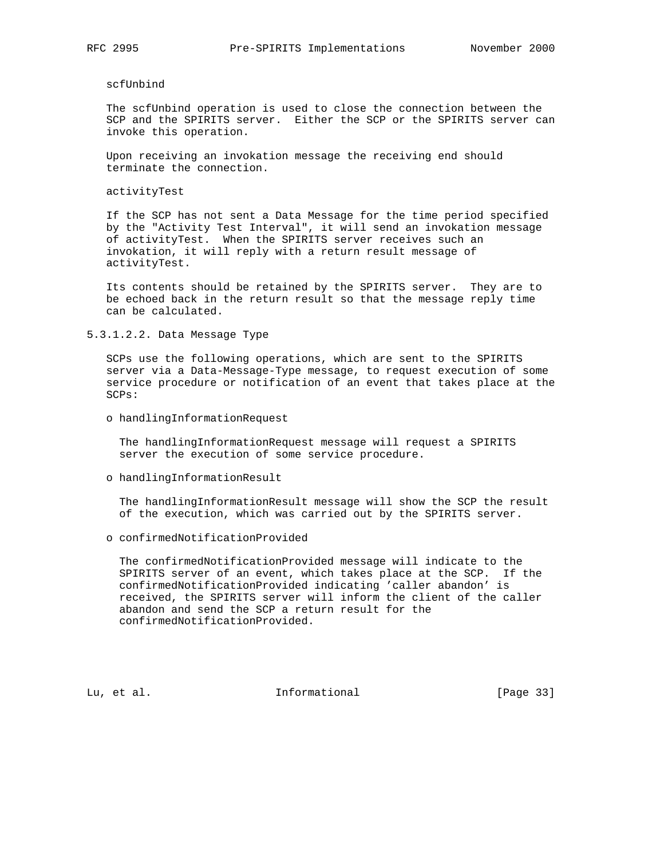## scfUnbind

 The scfUnbind operation is used to close the connection between the SCP and the SPIRITS server. Either the SCP or the SPIRITS server can invoke this operation.

 Upon receiving an invokation message the receiving end should terminate the connection.

activityTest

 If the SCP has not sent a Data Message for the time period specified by the "Activity Test Interval", it will send an invokation message of activityTest. When the SPIRITS server receives such an invokation, it will reply with a return result message of activityTest.

 Its contents should be retained by the SPIRITS server. They are to be echoed back in the return result so that the message reply time can be calculated.

5.3.1.2.2. Data Message Type

 SCPs use the following operations, which are sent to the SPIRITS server via a Data-Message-Type message, to request execution of some service procedure or notification of an event that takes place at the SCPs:

o handlingInformationRequest

 The handlingInformationRequest message will request a SPIRITS server the execution of some service procedure.

o handlingInformationResult

 The handlingInformationResult message will show the SCP the result of the execution, which was carried out by the SPIRITS server.

o confirmedNotificationProvided

 The confirmedNotificationProvided message will indicate to the SPIRITS server of an event, which takes place at the SCP. If the confirmedNotificationProvided indicating 'caller abandon' is received, the SPIRITS server will inform the client of the caller abandon and send the SCP a return result for the confirmedNotificationProvided.

Lu, et al. 10. Informational 1. [Page 33]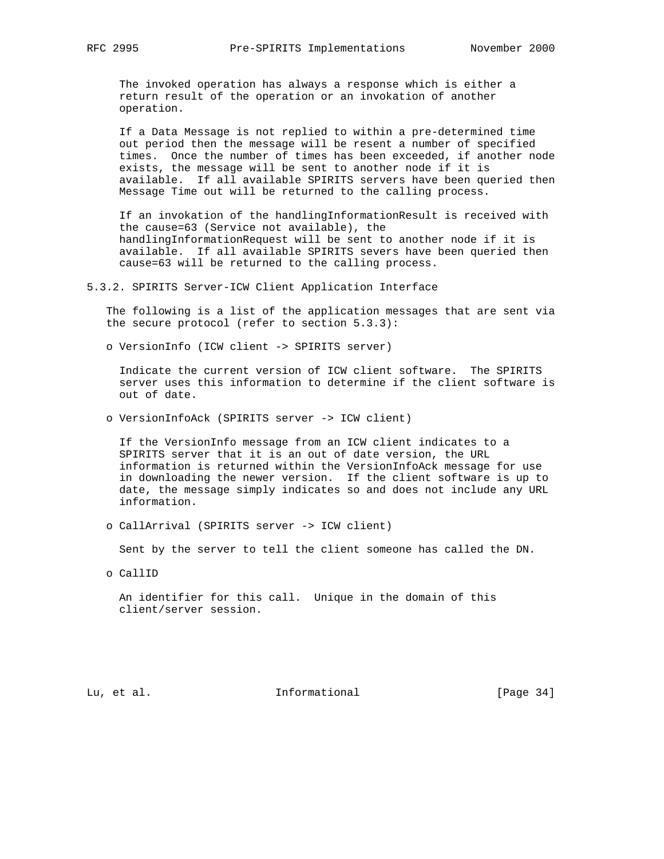The invoked operation has always a response which is either a return result of the operation or an invokation of another operation.

 If a Data Message is not replied to within a pre-determined time out period then the message will be resent a number of specified times. Once the number of times has been exceeded, if another node exists, the message will be sent to another node if it is available. If all available SPIRITS servers have been queried then Message Time out will be returned to the calling process.

 If an invokation of the handlingInformationResult is received with the cause=63 (Service not available), the handlingInformationRequest will be sent to another node if it is available. If all available SPIRITS severs have been queried then cause=63 will be returned to the calling process.

5.3.2. SPIRITS Server-ICW Client Application Interface

 The following is a list of the application messages that are sent via the secure protocol (refer to section 5.3.3):

o VersionInfo (ICW client -> SPIRITS server)

 Indicate the current version of ICW client software. The SPIRITS server uses this information to determine if the client software is out of date.

o VersionInfoAck (SPIRITS server -> ICW client)

 If the VersionInfo message from an ICW client indicates to a SPIRITS server that it is an out of date version, the URL information is returned within the VersionInfoAck message for use in downloading the newer version. If the client software is up to date, the message simply indicates so and does not include any URL information.

o CallArrival (SPIRITS server -> ICW client)

Sent by the server to tell the client someone has called the DN.

o CallID

 An identifier for this call. Unique in the domain of this client/server session.

Lu, et al. Informational [Page 34]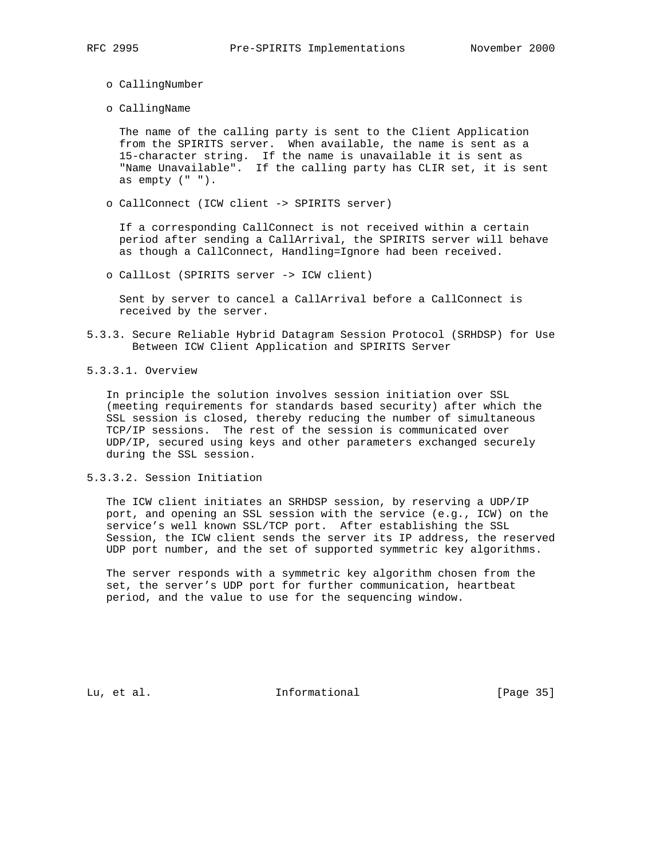o CallingNumber

o CallingName

 The name of the calling party is sent to the Client Application from the SPIRITS server. When available, the name is sent as a 15-character string. If the name is unavailable it is sent as "Name Unavailable". If the calling party has CLIR set, it is sent as empty (" ").

o CallConnect (ICW client -> SPIRITS server)

 If a corresponding CallConnect is not received within a certain period after sending a CallArrival, the SPIRITS server will behave as though a CallConnect, Handling=Ignore had been received.

o CallLost (SPIRITS server -> ICW client)

 Sent by server to cancel a CallArrival before a CallConnect is received by the server.

- 5.3.3. Secure Reliable Hybrid Datagram Session Protocol (SRHDSP) for Use Between ICW Client Application and SPIRITS Server
- 5.3.3.1. Overview

 In principle the solution involves session initiation over SSL (meeting requirements for standards based security) after which the SSL session is closed, thereby reducing the number of simultaneous TCP/IP sessions. The rest of the session is communicated over UDP/IP, secured using keys and other parameters exchanged securely during the SSL session.

5.3.3.2. Session Initiation

 The ICW client initiates an SRHDSP session, by reserving a UDP/IP port, and opening an SSL session with the service (e.g., ICW) on the service's well known SSL/TCP port. After establishing the SSL Session, the ICW client sends the server its IP address, the reserved UDP port number, and the set of supported symmetric key algorithms.

 The server responds with a symmetric key algorithm chosen from the set, the server's UDP port for further communication, heartbeat period, and the value to use for the sequencing window.

Lu, et al. 10. Informational 1. [Page 35]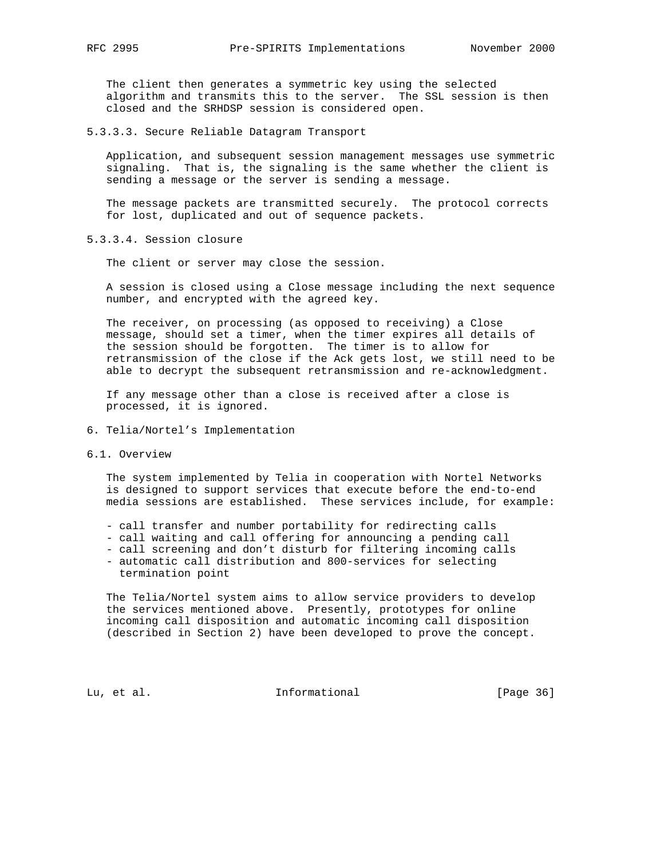The client then generates a symmetric key using the selected algorithm and transmits this to the server. The SSL session is then closed and the SRHDSP session is considered open.

5.3.3.3. Secure Reliable Datagram Transport

 Application, and subsequent session management messages use symmetric signaling. That is, the signaling is the same whether the client is sending a message or the server is sending a message.

 The message packets are transmitted securely. The protocol corrects for lost, duplicated and out of sequence packets.

5.3.3.4. Session closure

The client or server may close the session.

 A session is closed using a Close message including the next sequence number, and encrypted with the agreed key.

 The receiver, on processing (as opposed to receiving) a Close message, should set a timer, when the timer expires all details of the session should be forgotten. The timer is to allow for retransmission of the close if the Ack gets lost, we still need to be able to decrypt the subsequent retransmission and re-acknowledgment.

 If any message other than a close is received after a close is processed, it is ignored.

- 6. Telia/Nortel's Implementation
- 6.1. Overview

 The system implemented by Telia in cooperation with Nortel Networks is designed to support services that execute before the end-to-end media sessions are established. These services include, for example:

- call transfer and number portability for redirecting calls
- call waiting and call offering for announcing a pending call
- call screening and don't disturb for filtering incoming calls
- automatic call distribution and 800-services for selecting termination point

 The Telia/Nortel system aims to allow service providers to develop the services mentioned above. Presently, prototypes for online incoming call disposition and automatic incoming call disposition (described in Section 2) have been developed to prove the concept.

Lu, et al. 10. Informational 1. [Page 36]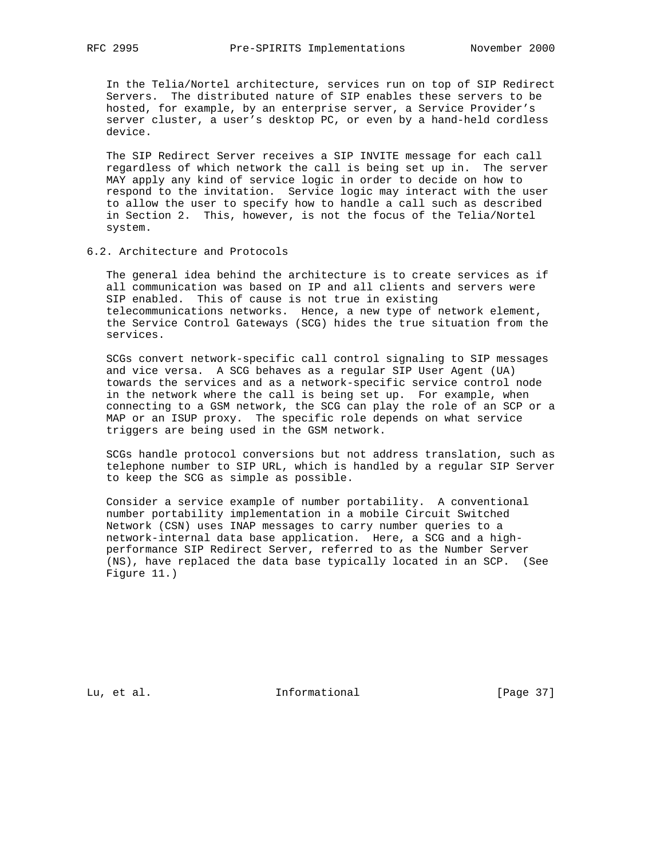In the Telia/Nortel architecture, services run on top of SIP Redirect Servers. The distributed nature of SIP enables these servers to be hosted, for example, by an enterprise server, a Service Provider's server cluster, a user's desktop PC, or even by a hand-held cordless device.

 The SIP Redirect Server receives a SIP INVITE message for each call regardless of which network the call is being set up in. The server MAY apply any kind of service logic in order to decide on how to respond to the invitation. Service logic may interact with the user to allow the user to specify how to handle a call such as described in Section 2. This, however, is not the focus of the Telia/Nortel system.

6.2. Architecture and Protocols

 The general idea behind the architecture is to create services as if all communication was based on IP and all clients and servers were SIP enabled. This of cause is not true in existing telecommunications networks. Hence, a new type of network element, the Service Control Gateways (SCG) hides the true situation from the services.

 SCGs convert network-specific call control signaling to SIP messages and vice versa. A SCG behaves as a regular SIP User Agent (UA) towards the services and as a network-specific service control node in the network where the call is being set up. For example, when connecting to a GSM network, the SCG can play the role of an SCP or a MAP or an ISUP proxy. The specific role depends on what service triggers are being used in the GSM network.

 SCGs handle protocol conversions but not address translation, such as telephone number to SIP URL, which is handled by a regular SIP Server to keep the SCG as simple as possible.

 Consider a service example of number portability. A conventional number portability implementation in a mobile Circuit Switched Network (CSN) uses INAP messages to carry number queries to a network-internal data base application. Here, a SCG and a high performance SIP Redirect Server, referred to as the Number Server (NS), have replaced the data base typically located in an SCP. (See Figure 11.)

Lu, et al. 10. Informational 1. [Page 37]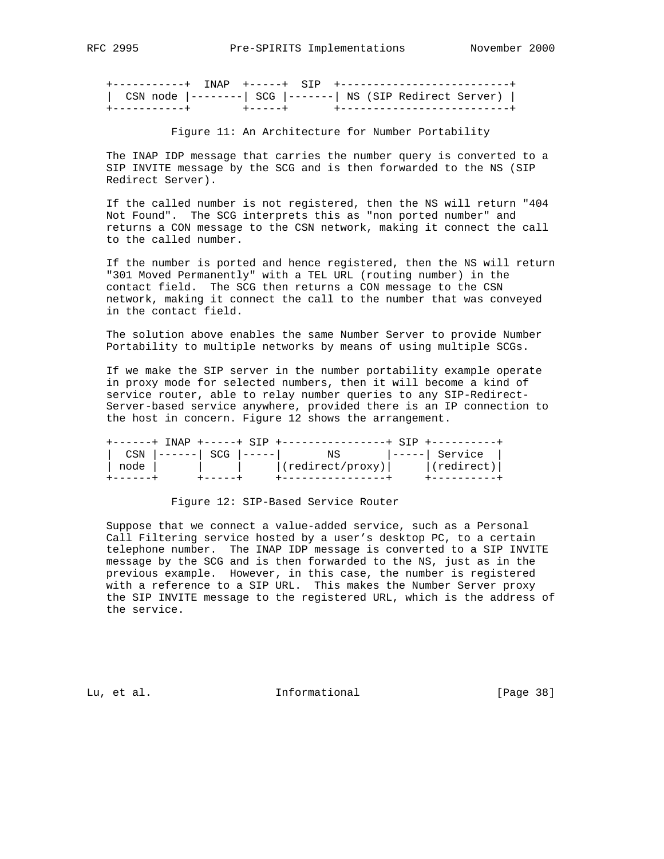| +-----------+ TNAP +-----+ STP +---------------------------+ |  |  |  |  |
|--------------------------------------------------------------|--|--|--|--|
| CSN node  --------  SCG  -------  NS (SIP Redirect Server)   |  |  |  |  |
|                                                              |  |  |  |  |

Figure 11: An Architecture for Number Portability

 The INAP IDP message that carries the number query is converted to a SIP INVITE message by the SCG and is then forwarded to the NS (SIP Redirect Server).

 If the called number is not registered, then the NS will return "404 Not Found". The SCG interprets this as "non ported number" and returns a CON message to the CSN network, making it connect the call to the called number.

 If the number is ported and hence registered, then the NS will return "301 Moved Permanently" with a TEL URL (routing number) in the contact field. The SCG then returns a CON message to the CSN network, making it connect the call to the number that was conveyed in the contact field.

 The solution above enables the same Number Server to provide Number Portability to multiple networks by means of using multiple SCGs.

 If we make the SIP server in the number portability example operate in proxy mode for selected numbers, then it will become a kind of service router, able to relay number queries to any SIP-Redirect- Server-based service anywhere, provided there is an IP connection to the host in concern. Figure 12 shows the arrangement.

| +-------+ TNAP +-----+ STP +------------------+ STP +-----------+ |                             |                          |  |                  |  |                       |  |  |  |
|-------------------------------------------------------------------|-----------------------------|--------------------------|--|------------------|--|-----------------------|--|--|--|
|                                                                   | $CSN$ $ -----$ SCG $ -----$ |                          |  | NS No            |  | $ ----- $ Service $ $ |  |  |  |
| node                                                              |                             | the contract of the con- |  | (redirect/proxy) |  | (redirect)            |  |  |  |
|                                                                   |                             |                          |  |                  |  |                       |  |  |  |

### Figure 12: SIP-Based Service Router

 Suppose that we connect a value-added service, such as a Personal Call Filtering service hosted by a user's desktop PC, to a certain telephone number. The INAP IDP message is converted to a SIP INVITE message by the SCG and is then forwarded to the NS, just as in the previous example. However, in this case, the number is registered with a reference to a SIP URL. This makes the Number Server proxy the SIP INVITE message to the registered URL, which is the address of the service.

Lu, et al. Informational [Page 38]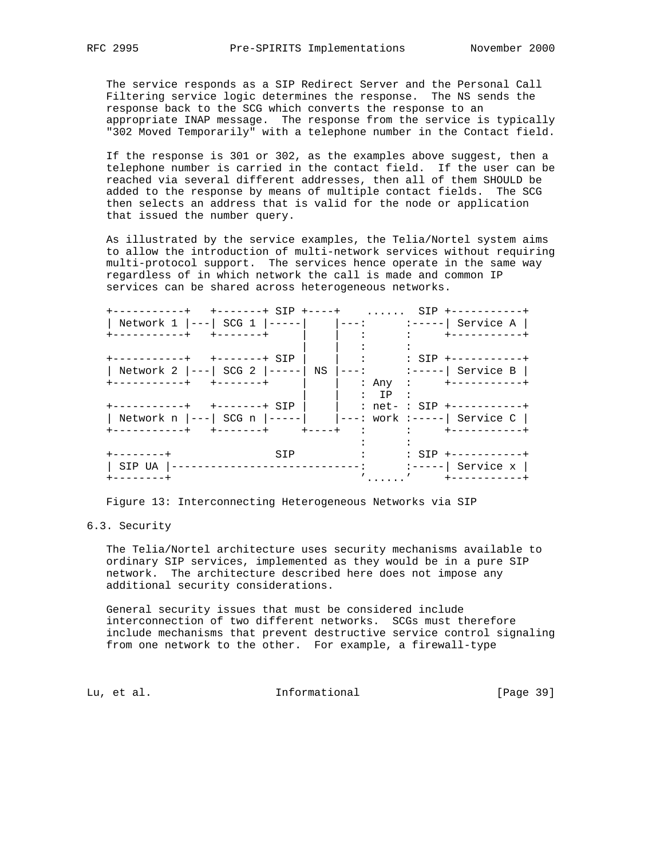The service responds as a SIP Redirect Server and the Personal Call Filtering service logic determines the response. The NS sends the response back to the SCG which converts the response to an appropriate INAP message. The response from the service is typically "302 Moved Temporarily" with a telephone number in the Contact field.

 If the response is 301 or 302, as the examples above suggest, then a telephone number is carried in the contact field. If the user can be reached via several different addresses, then all of them SHOULD be added to the response by means of multiple contact fields. The SCG then selects an address that is valid for the node or application that issued the number query.

 As illustrated by the service examples, the Telia/Nortel system aims to allow the introduction of multi-network services without requiring multi-protocol support. The services hence operate in the same way regardless of in which network the call is made and common IP services can be shared across heterogeneous networks.

| +-----------+    +-------+ SIP +----+ |     |    |            |                             |
|---------------------------------------|-----|----|------------|-----------------------------|
| Network 1  ---  SCG 1  -----          |     |    |            | $ ---:$ :-----  Service A   |
| +-----------+ +-------+               |     |    |            | ; ; ; ; +-----------        |
| +-----------+ +-------+ SIP           |     |    |            | $:$ SIP +-----------+       |
| Network 2 $ --- $ SCG 2 $ --- $       |     | NS |            |                             |
| +-----------+ +-------+               |     |    |            | : Any : $+--------+$        |
|                                       |     |    | $:$ TP $:$ |                             |
| +-----------+   +-------+ SIP         |     |    |            |                             |
| Network n  ---  SCG n  -----          |     |    |            | ---: work :-----  Service C |
|                                       |     |    |            |                             |
|                                       |     |    |            |                             |
| --------+                             | SIP |    |            |                             |
|                                       |     |    |            | $--- $ Service x $ $        |
| --------+                             |     |    |            | +-----------                |

Figure 13: Interconnecting Heterogeneous Networks via SIP

### 6.3. Security

 The Telia/Nortel architecture uses security mechanisms available to ordinary SIP services, implemented as they would be in a pure SIP network. The architecture described here does not impose any additional security considerations.

 General security issues that must be considered include interconnection of two different networks. SCGs must therefore include mechanisms that prevent destructive service control signaling from one network to the other. For example, a firewall-type

Lu, et al. 10. Informational 1. [Page 39]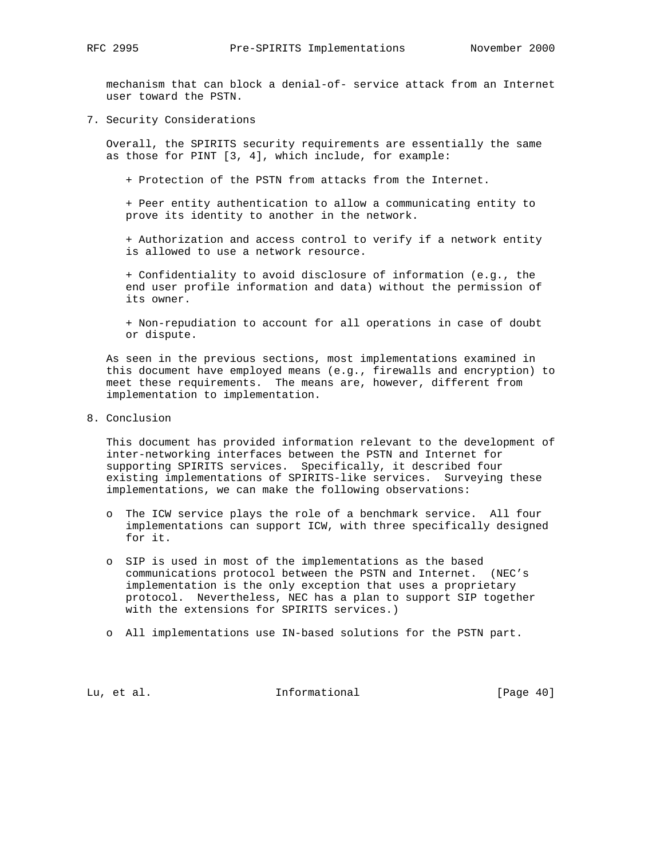mechanism that can block a denial-of- service attack from an Internet user toward the PSTN.

7. Security Considerations

 Overall, the SPIRITS security requirements are essentially the same as those for PINT [3, 4], which include, for example:

+ Protection of the PSTN from attacks from the Internet.

 + Peer entity authentication to allow a communicating entity to prove its identity to another in the network.

 + Authorization and access control to verify if a network entity is allowed to use a network resource.

 + Confidentiality to avoid disclosure of information (e.g., the end user profile information and data) without the permission of its owner.

 + Non-repudiation to account for all operations in case of doubt or dispute.

 As seen in the previous sections, most implementations examined in this document have employed means (e.g., firewalls and encryption) to meet these requirements. The means are, however, different from implementation to implementation.

8. Conclusion

 This document has provided information relevant to the development of inter-networking interfaces between the PSTN and Internet for supporting SPIRITS services. Specifically, it described four existing implementations of SPIRITS-like services. Surveying these implementations, we can make the following observations:

- o The ICW service plays the role of a benchmark service. All four implementations can support ICW, with three specifically designed for it.
- o SIP is used in most of the implementations as the based communications protocol between the PSTN and Internet. (NEC's implementation is the only exception that uses a proprietary protocol. Nevertheless, NEC has a plan to support SIP together with the extensions for SPIRITS services.)
- o All implementations use IN-based solutions for the PSTN part.

Lu, et al. 10. Informational 1. [Page 40]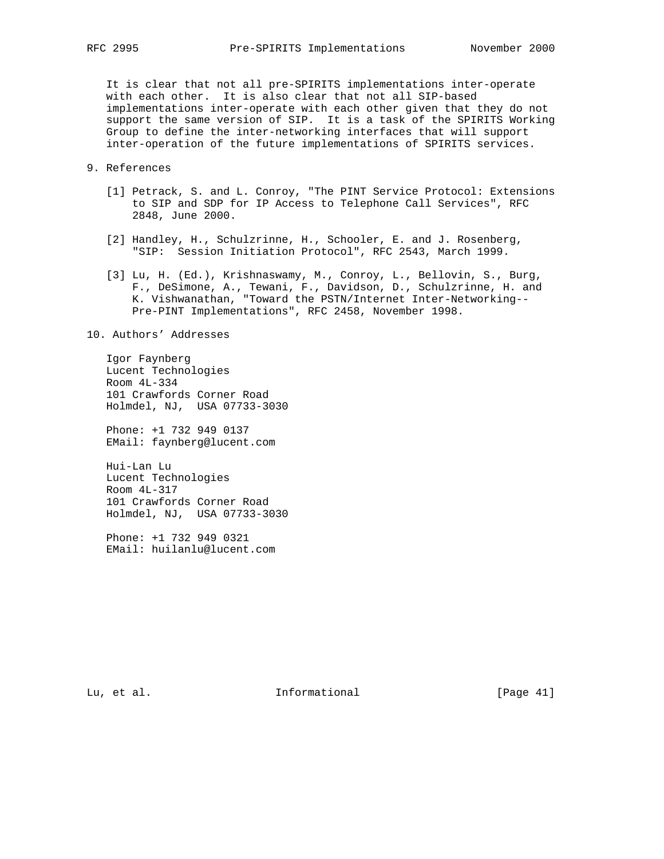It is clear that not all pre-SPIRITS implementations inter-operate with each other. It is also clear that not all SIP-based implementations inter-operate with each other given that they do not support the same version of SIP. It is a task of the SPIRITS Working Group to define the inter-networking interfaces that will support inter-operation of the future implementations of SPIRITS services.

- 9. References
	- [1] Petrack, S. and L. Conroy, "The PINT Service Protocol: Extensions to SIP and SDP for IP Access to Telephone Call Services", RFC 2848, June 2000.
	- [2] Handley, H., Schulzrinne, H., Schooler, E. and J. Rosenberg, "SIP: Session Initiation Protocol", RFC 2543, March 1999.
	- [3] Lu, H. (Ed.), Krishnaswamy, M., Conroy, L., Bellovin, S., Burg, F., DeSimone, A., Tewani, F., Davidson, D., Schulzrinne, H. and K. Vishwanathan, "Toward the PSTN/Internet Inter-Networking-- Pre-PINT Implementations", RFC 2458, November 1998.

### 10. Authors' Addresses

 Igor Faynberg Lucent Technologies Room 4L-334 101 Crawfords Corner Road Holmdel, NJ, USA 07733-3030

 Phone: +1 732 949 0137 EMail: faynberg@lucent.com

 Hui-Lan Lu Lucent Technologies Room 4L-317 101 Crawfords Corner Road Holmdel, NJ, USA 07733-3030

 Phone: +1 732 949 0321 EMail: huilanlu@lucent.com

Lu, et al. 10. Informational 1. [Page 41]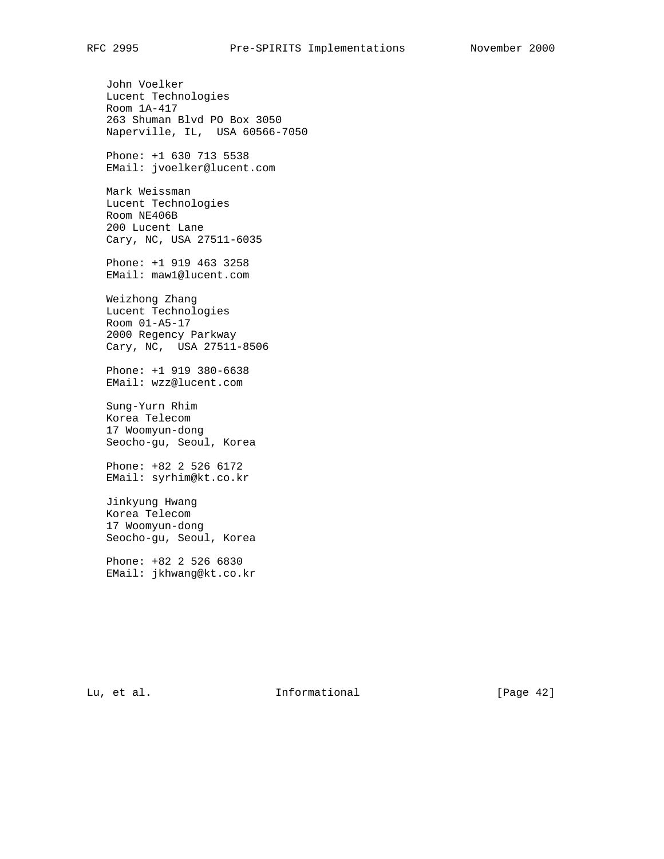John Voelker Lucent Technologies Room 1A-417 263 Shuman Blvd PO Box 3050 Naperville, IL, USA 60566-7050

 Phone: +1 630 713 5538 EMail: jvoelker@lucent.com

 Mark Weissman Lucent Technologies Room NE406B 200 Lucent Lane Cary, NC, USA 27511-6035

 Phone: +1 919 463 3258 EMail: maw1@lucent.com

 Weizhong Zhang Lucent Technologies Room 01-A5-17 2000 Regency Parkway Cary, NC, USA 27511-8506

 Phone: +1 919 380-6638 EMail: wzz@lucent.com

 Sung-Yurn Rhim Korea Telecom 17 Woomyun-dong Seocho-gu, Seoul, Korea

 Phone: +82 2 526 6172 EMail: syrhim@kt.co.kr

 Jinkyung Hwang Korea Telecom 17 Woomyun-dong Seocho-gu, Seoul, Korea

 Phone: +82 2 526 6830 EMail: jkhwang@kt.co.kr

Lu, et al. 10. Informational 1. [Page 42]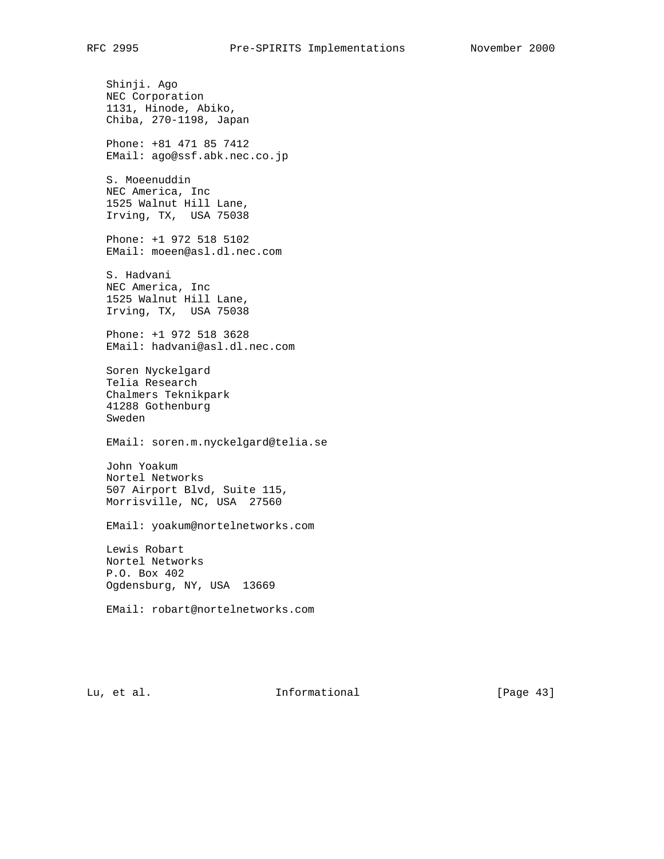Shinji. Ago NEC Corporation 1131, Hinode, Abiko, Chiba, 270-1198, Japan Phone: +81 471 85 7412 EMail: ago@ssf.abk.nec.co.jp S. Moeenuddin NEC America, Inc 1525 Walnut Hill Lane, Irving, TX, USA 75038 Phone: +1 972 518 5102 EMail: moeen@asl.dl.nec.com S. Hadvani NEC America, Inc 1525 Walnut Hill Lane, Irving, TX, USA 75038 Phone: +1 972 518 3628 EMail: hadvani@asl.dl.nec.com Soren Nyckelgard Telia Research Chalmers Teknikpark 41288 Gothenburg Sweden EMail: soren.m.nyckelgard@telia.se John Yoakum Nortel Networks 507 Airport Blvd, Suite 115, Morrisville, NC, USA 27560 EMail: yoakum@nortelnetworks.com Lewis Robart Nortel Networks P.O. Box 402 Ogdensburg, NY, USA 13669 EMail: robart@nortelnetworks.com

Lu, et al. 10. Informational 1. [Page 43]